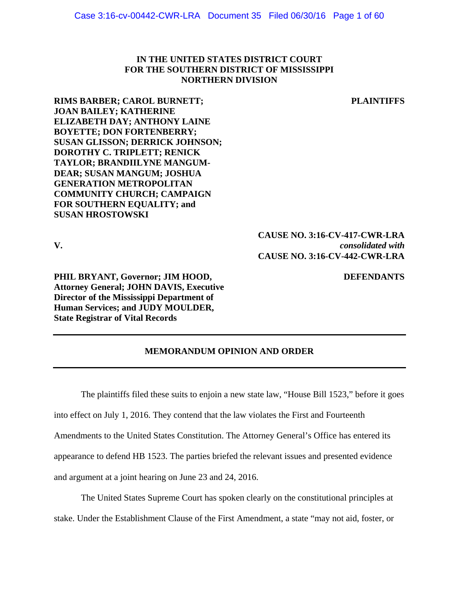## **IN THE UNITED STATES DISTRICT COURT FOR THE SOUTHERN DISTRICT OF MISSISSIPPI NORTHERN DIVISION**

**PLAINTIFFS**

**RIMS BARBER; CAROL BURNETT; JOAN BAILEY; KATHERINE ELIZABETH DAY; ANTHONY LAINE BOYETTE; DON FORTENBERRY; SUSAN GLISSON; DERRICK JOHNSON; DOROTHY C. TRIPLETT; RENICK TAYLOR; BRANDIILYNE MANGUM-DEAR; SUSAN MANGUM; JOSHUA GENERATION METROPOLITAN COMMUNITY CHURCH; CAMPAIGN FOR SOUTHERN EQUALITY; and SUSAN HROSTOWSKI** 

**V.** 

**CAUSE NO. 3:16-CV-417-CWR-LRA** *consolidated with* **CAUSE NO. 3:16-CV-442-CWR-LRA**

**PHIL BRYANT, Governor; JIM HOOD, Attorney General; JOHN DAVIS, Executive Director of the Mississippi Department of Human Services; and JUDY MOULDER, State Registrar of Vital Records** 

## **DEFENDANTS**

## **MEMORANDUM OPINION AND ORDER**

 The plaintiffs filed these suits to enjoin a new state law, "House Bill 1523," before it goes into effect on July 1, 2016. They contend that the law violates the First and Fourteenth Amendments to the United States Constitution. The Attorney General's Office has entered its appearance to defend HB 1523. The parties briefed the relevant issues and presented evidence and argument at a joint hearing on June 23 and 24, 2016.

 The United States Supreme Court has spoken clearly on the constitutional principles at stake. Under the Establishment Clause of the First Amendment, a state "may not aid, foster, or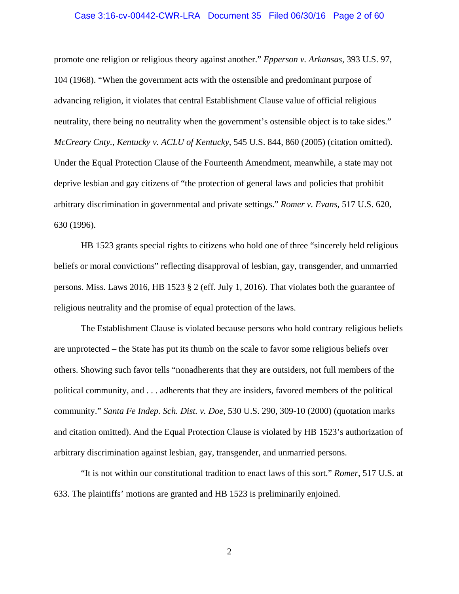## Case 3:16-cv-00442-CWR-LRA Document 35 Filed 06/30/16 Page 2 of 60

promote one religion or religious theory against another." *Epperson v. Arkansas*, 393 U.S. 97, 104 (1968). "When the government acts with the ostensible and predominant purpose of advancing religion, it violates that central Establishment Clause value of official religious neutrality, there being no neutrality when the government's ostensible object is to take sides." *McCreary Cnty., Kentucky v. ACLU of Kentucky*, 545 U.S. 844, 860 (2005) (citation omitted). Under the Equal Protection Clause of the Fourteenth Amendment, meanwhile, a state may not deprive lesbian and gay citizens of "the protection of general laws and policies that prohibit arbitrary discrimination in governmental and private settings." *Romer v. Evans*, 517 U.S. 620, 630 (1996).

 HB 1523 grants special rights to citizens who hold one of three "sincerely held religious beliefs or moral convictions" reflecting disapproval of lesbian, gay, transgender, and unmarried persons. Miss. Laws 2016, HB 1523 § 2 (eff. July 1, 2016). That violates both the guarantee of religious neutrality and the promise of equal protection of the laws.

The Establishment Clause is violated because persons who hold contrary religious beliefs are unprotected – the State has put its thumb on the scale to favor some religious beliefs over others. Showing such favor tells "nonadherents that they are outsiders, not full members of the political community, and . . . adherents that they are insiders, favored members of the political community." *Santa Fe Indep. Sch. Dist. v. Doe*, 530 U.S. 290, 309-10 (2000) (quotation marks and citation omitted). And the Equal Protection Clause is violated by HB 1523's authorization of arbitrary discrimination against lesbian, gay, transgender, and unmarried persons.

 "It is not within our constitutional tradition to enact laws of this sort." *Romer*, 517 U.S. at 633. The plaintiffs' motions are granted and HB 1523 is preliminarily enjoined.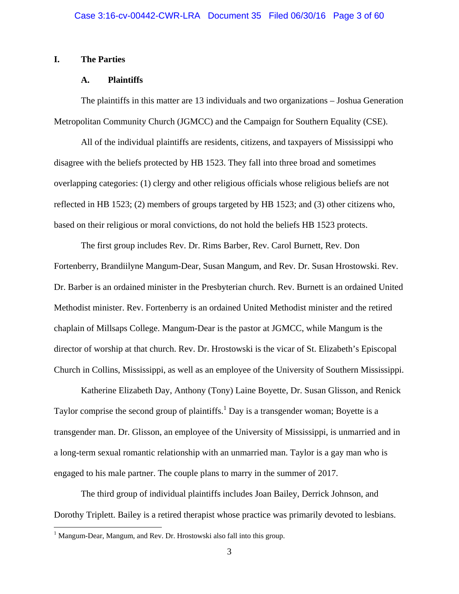## **I. The Parties**

## **A. Plaintiffs**

 The plaintiffs in this matter are 13 individuals and two organizations – Joshua Generation Metropolitan Community Church (JGMCC) and the Campaign for Southern Equality (CSE).

 All of the individual plaintiffs are residents, citizens, and taxpayers of Mississippi who disagree with the beliefs protected by HB 1523. They fall into three broad and sometimes overlapping categories: (1) clergy and other religious officials whose religious beliefs are not reflected in HB 1523; (2) members of groups targeted by HB 1523; and (3) other citizens who, based on their religious or moral convictions, do not hold the beliefs HB 1523 protects.

 The first group includes Rev. Dr. Rims Barber, Rev. Carol Burnett, Rev. Don Fortenberry, Brandiilyne Mangum-Dear, Susan Mangum, and Rev. Dr. Susan Hrostowski. Rev. Dr. Barber is an ordained minister in the Presbyterian church. Rev. Burnett is an ordained United Methodist minister. Rev. Fortenberry is an ordained United Methodist minister and the retired chaplain of Millsaps College. Mangum-Dear is the pastor at JGMCC, while Mangum is the director of worship at that church. Rev. Dr. Hrostowski is the vicar of St. Elizabeth's Episcopal Church in Collins, Mississippi, as well as an employee of the University of Southern Mississippi.

 Katherine Elizabeth Day, Anthony (Tony) Laine Boyette, Dr. Susan Glisson, and Renick Taylor comprise the second group of plaintiffs.<sup>1</sup> Day is a transgender woman; Boyette is a transgender man. Dr. Glisson, an employee of the University of Mississippi, is unmarried and in a long-term sexual romantic relationship with an unmarried man. Taylor is a gay man who is engaged to his male partner. The couple plans to marry in the summer of 2017.

 The third group of individual plaintiffs includes Joan Bailey, Derrick Johnson, and Dorothy Triplett. Bailey is a retired therapist whose practice was primarily devoted to lesbians.

<sup>&</sup>lt;sup>1</sup> Mangum-Dear, Mangum, and Rev. Dr. Hrostowski also fall into this group.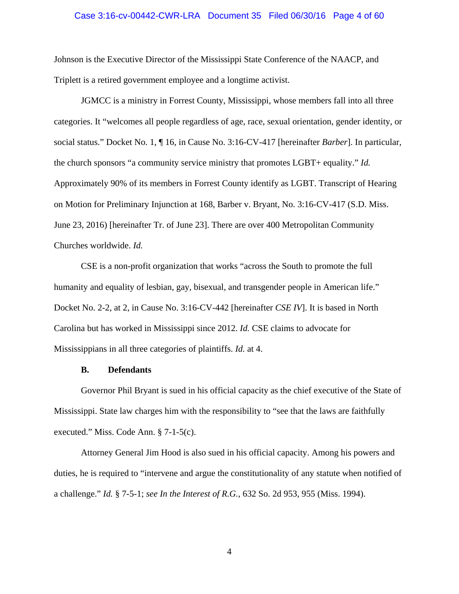#### Case 3:16-cv-00442-CWR-LRA Document 35 Filed 06/30/16 Page 4 of 60

Johnson is the Executive Director of the Mississippi State Conference of the NAACP, and Triplett is a retired government employee and a longtime activist.

 JGMCC is a ministry in Forrest County, Mississippi, whose members fall into all three categories. It "welcomes all people regardless of age, race, sexual orientation, gender identity, or social status." Docket No. 1, ¶ 16, in Cause No. 3:16-CV-417 [hereinafter *Barber*]. In particular, the church sponsors "a community service ministry that promotes LGBT+ equality." *Id.*  Approximately 90% of its members in Forrest County identify as LGBT. Transcript of Hearing on Motion for Preliminary Injunction at 168, Barber v. Bryant, No. 3:16-CV-417 (S.D. Miss. June 23, 2016) [hereinafter Tr. of June 23]. There are over 400 Metropolitan Community Churches worldwide. *Id.*

 CSE is a non-profit organization that works "across the South to promote the full humanity and equality of lesbian, gay, bisexual, and transgender people in American life." Docket No. 2-2, at 2, in Cause No. 3:16-CV-442 [hereinafter *CSE IV*]. It is based in North Carolina but has worked in Mississippi since 2012. *Id.* CSE claims to advocate for Mississippians in all three categories of plaintiffs. *Id.* at 4.

## **B. Defendants**

 Governor Phil Bryant is sued in his official capacity as the chief executive of the State of Mississippi. State law charges him with the responsibility to "see that the laws are faithfully executed." Miss. Code Ann. § 7-1-5(c).

 Attorney General Jim Hood is also sued in his official capacity. Among his powers and duties, he is required to "intervene and argue the constitutionality of any statute when notified of a challenge." *Id.* § 7-5-1; *see In the Interest of R.G.*, 632 So. 2d 953, 955 (Miss. 1994).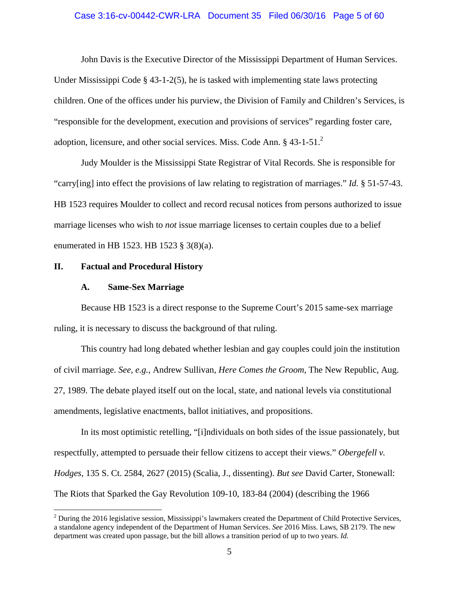### Case 3:16-cv-00442-CWR-LRA Document 35 Filed 06/30/16 Page 5 of 60

 John Davis is the Executive Director of the Mississippi Department of Human Services. Under Mississippi Code  $\S$  43-1-2(5), he is tasked with implementing state laws protecting children. One of the offices under his purview, the Division of Family and Children's Services, is "responsible for the development, execution and provisions of services" regarding foster care, adoption, licensure, and other social services. Miss. Code Ann.  $\S$  43-1-51.<sup>2</sup>

 Judy Moulder is the Mississippi State Registrar of Vital Records. She is responsible for "carry[ing] into effect the provisions of law relating to registration of marriages." *Id.* § 51-57-43. HB 1523 requires Moulder to collect and record recusal notices from persons authorized to issue marriage licenses who wish to *not* issue marriage licenses to certain couples due to a belief enumerated in HB 1523. HB 1523 § 3(8)(a).

#### **II. Factual and Procedural History**

#### **A. Same-Sex Marriage**

 $\overline{a}$ 

 Because HB 1523 is a direct response to the Supreme Court's 2015 same-sex marriage ruling, it is necessary to discuss the background of that ruling.

 This country had long debated whether lesbian and gay couples could join the institution of civil marriage. *See, e.g.*, Andrew Sullivan, *Here Comes the Groom*, The New Republic, Aug. 27, 1989. The debate played itself out on the local, state, and national levels via constitutional amendments, legislative enactments, ballot initiatives, and propositions.

 In its most optimistic retelling, "[i]ndividuals on both sides of the issue passionately, but respectfully, attempted to persuade their fellow citizens to accept their views." *Obergefell v. Hodges*, 135 S. Ct. 2584, 2627 (2015) (Scalia, J., dissenting). *But see* David Carter, Stonewall: The Riots that Sparked the Gay Revolution 109-10, 183-84 (2004) (describing the 1966

 $2^2$  During the 2016 legislative session, Mississippi's lawmakers created the Department of Child Protective Services, a standalone agency independent of the Department of Human Services. *See* 2016 Miss. Laws, SB 2179. The new department was created upon passage, but the bill allows a transition period of up to two years. *Id.*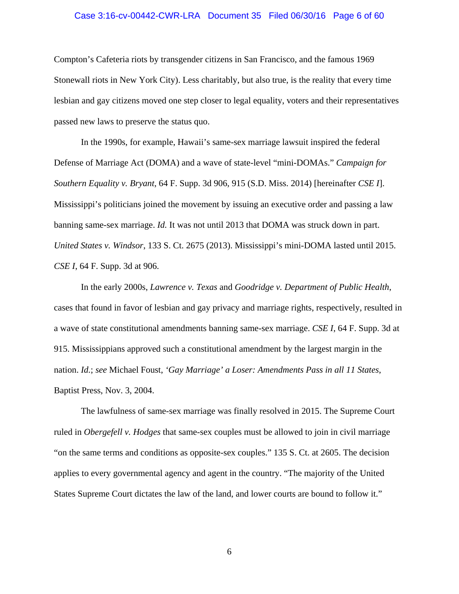## Case 3:16-cv-00442-CWR-LRA Document 35 Filed 06/30/16 Page 6 of 60

Compton's Cafeteria riots by transgender citizens in San Francisco, and the famous 1969 Stonewall riots in New York City). Less charitably, but also true, is the reality that every time lesbian and gay citizens moved one step closer to legal equality, voters and their representatives passed new laws to preserve the status quo.

 In the 1990s, for example, Hawaii's same-sex marriage lawsuit inspired the federal Defense of Marriage Act (DOMA) and a wave of state-level "mini-DOMAs." *Campaign for Southern Equality v. Bryant*, 64 F. Supp. 3d 906, 915 (S.D. Miss. 2014) [hereinafter *CSE I*]. Mississippi's politicians joined the movement by issuing an executive order and passing a law banning same-sex marriage. *Id.* It was not until 2013 that DOMA was struck down in part. *United States v. Windsor*, 133 S. Ct. 2675 (2013). Mississippi's mini-DOMA lasted until 2015. *CSE I*, 64 F. Supp. 3d at 906.

 In the early 2000s, *Lawrence v. Texas* and *Goodridge v. Department of Public Health*, cases that found in favor of lesbian and gay privacy and marriage rights, respectively, resulted in a wave of state constitutional amendments banning same-sex marriage. *CSE I*, 64 F. Supp. 3d at 915. Mississippians approved such a constitutional amendment by the largest margin in the nation. *Id.*; *see* Michael Foust, *'Gay Marriage' a Loser: Amendments Pass in all 11 States*, Baptist Press, Nov. 3, 2004.

 The lawfulness of same-sex marriage was finally resolved in 2015. The Supreme Court ruled in *Obergefell v. Hodges* that same-sex couples must be allowed to join in civil marriage "on the same terms and conditions as opposite-sex couples." 135 S. Ct. at 2605. The decision applies to every governmental agency and agent in the country. "The majority of the United States Supreme Court dictates the law of the land, and lower courts are bound to follow it."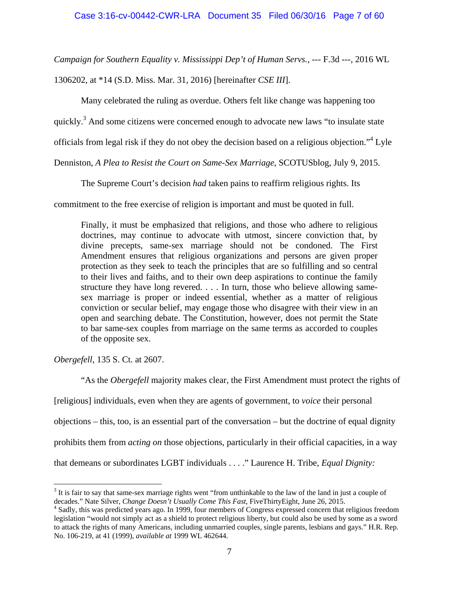*Campaign for Southern Equality v. Mississippi Dep't of Human Servs.*, --- F.3d ---, 2016 WL

1306202, at \*14 (S.D. Miss. Mar. 31, 2016) [hereinafter *CSE III*].

Many celebrated the ruling as overdue. Others felt like change was happening too

quickly.<sup>3</sup> And some citizens were concerned enough to advocate new laws "to insulate state

officials from legal risk if they do not obey the decision based on a religious objection."4 Lyle

Denniston, *A Plea to Resist the Court on Same-Sex Marriage*, SCOTUSblog, July 9, 2015.

The Supreme Court's decision *had* taken pains to reaffirm religious rights. Its

commitment to the free exercise of religion is important and must be quoted in full.

Finally, it must be emphasized that religions, and those who adhere to religious doctrines, may continue to advocate with utmost, sincere conviction that, by divine precepts, same-sex marriage should not be condoned. The First Amendment ensures that religious organizations and persons are given proper protection as they seek to teach the principles that are so fulfilling and so central to their lives and faiths, and to their own deep aspirations to continue the family structure they have long revered. . . . In turn, those who believe allowing samesex marriage is proper or indeed essential, whether as a matter of religious conviction or secular belief, may engage those who disagree with their view in an open and searching debate. The Constitution, however, does not permit the State to bar same-sex couples from marriage on the same terms as accorded to couples of the opposite sex.

*Obergefell*, 135 S. Ct. at 2607.

 "As the *Obergefell* majority makes clear, the First Amendment must protect the rights of [religious] individuals, even when they are agents of government, to *voice* their personal objections – this, too, is an essential part of the conversation – but the doctrine of equal dignity prohibits them from *acting on* those objections, particularly in their official capacities, in a way that demeans or subordinates LGBT individuals . . . ." Laurence H. Tribe, *Equal Dignity:* 

<sup>1</sup>  $3$  It is fair to say that same-sex marriage rights went "from unthinkable to the law of the land in just a couple of decades." Nate Silver, *Change Doesn't Usually Come This Fast*, FiveThirtyEight, June 26, 2015. 4

<sup>&</sup>lt;sup>4</sup> Sadly, this was predicted years ago. In 1999, four members of Congress expressed concern that religious freedom legislation "would not simply act as a shield to protect religious liberty, but could also be used by some as a sword to attack the rights of many Americans, including unmarried couples, single parents, lesbians and gays." H.R. Rep. No. 106-219, at 41 (1999), *available at* 1999 WL 462644.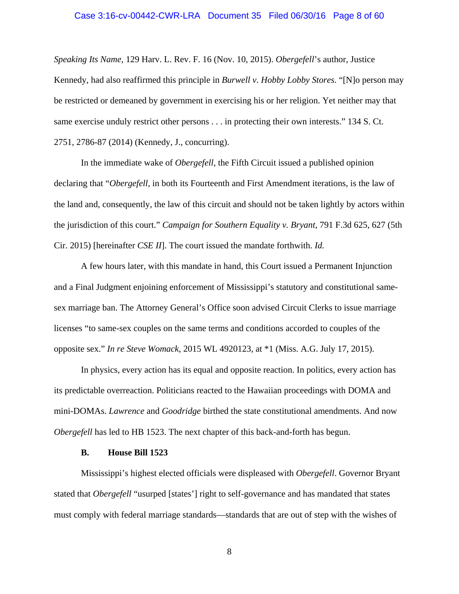## Case 3:16-cv-00442-CWR-LRA Document 35 Filed 06/30/16 Page 8 of 60

*Speaking Its Name*, 129 Harv. L. Rev. F. 16 (Nov. 10, 2015). *Obergefell*'s author, Justice Kennedy, had also reaffirmed this principle in *Burwell v. Hobby Lobby Stores*. "[N]o person may be restricted or demeaned by government in exercising his or her religion. Yet neither may that same exercise unduly restrict other persons . . . in protecting their own interests." 134 S. Ct. 2751, 2786-87 (2014) (Kennedy, J., concurring).

 In the immediate wake of *Obergefell*, the Fifth Circuit issued a published opinion declaring that "*Obergefell,* in both its Fourteenth and First Amendment iterations, is the law of the land and, consequently, the law of this circuit and should not be taken lightly by actors within the jurisdiction of this court." *Campaign for Southern Equality v. Bryant*, 791 F.3d 625, 627 (5th Cir. 2015) [hereinafter *CSE II*]. The court issued the mandate forthwith. *Id.*

A few hours later, with this mandate in hand, this Court issued a Permanent Injunction and a Final Judgment enjoining enforcement of Mississippi's statutory and constitutional samesex marriage ban. The Attorney General's Office soon advised Circuit Clerks to issue marriage licenses "to same-sex couples on the same terms and conditions accorded to couples of the opposite sex." *In re Steve Womack*, 2015 WL 4920123, at \*1 (Miss. A.G. July 17, 2015).

 In physics, every action has its equal and opposite reaction. In politics, every action has its predictable overreaction. Politicians reacted to the Hawaiian proceedings with DOMA and mini-DOMAs. *Lawrence* and *Goodridge* birthed the state constitutional amendments. And now *Obergefell* has led to HB 1523. The next chapter of this back-and-forth has begun.

## **B. House Bill 1523**

 Mississippi's highest elected officials were displeased with *Obergefell*. Governor Bryant stated that *Obergefell* "usurped [states'] right to self-governance and has mandated that states must comply with federal marriage standards—standards that are out of step with the wishes of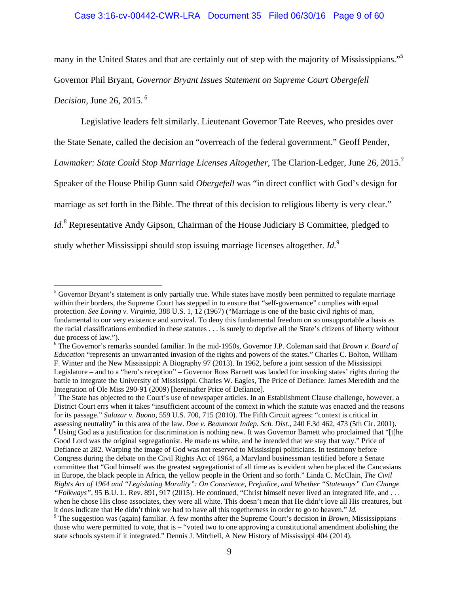## Case 3:16-cv-00442-CWR-LRA Document 35 Filed 06/30/16 Page 9 of 60

many in the United States and that are certainly out of step with the majority of Mississippians."<sup>5</sup>

Governor Phil Bryant, *Governor Bryant Issues Statement on Supreme Court Obergefell* 

*Decision*, June 26, 2015. 6

 $\overline{a}$ 

 Legislative leaders felt similarly. Lieutenant Governor Tate Reeves, who presides over the State Senate, called the decision an "overreach of the federal government." Geoff Pender, *Lawmaker: State Could Stop Marriage Licenses Altogether*, The Clarion-Ledger, June 26, 2015.<sup>7</sup> Speaker of the House Philip Gunn said *Obergefell* was "in direct conflict with God's design for marriage as set forth in the Bible. The threat of this decision to religious liberty is very clear." Id.<sup>8</sup> Representative Andy Gipson, Chairman of the House Judiciary B Committee, pledged to study whether Mississippi should stop issuing marriage licenses altogether. *Id.*<sup>9</sup>

 $<sup>5</sup>$  Governor Bryant's statement is only partially true. While states have mostly been permitted to regulate marriage</sup> within their borders, the Supreme Court has stepped in to ensure that "self-governance" complies with equal protection. *See Loving v. Virginia,* 388 U.S. 1, 12 (1967) ("Marriage is one of the basic civil rights of man, fundamental to our very existence and survival. To deny this fundamental freedom on so unsupportable a basis as the racial classifications embodied in these statutes . . . is surely to deprive all the State's citizens of liberty without due process of law.").

<sup>6</sup> The Governor's remarks sounded familiar. In the mid-1950s, Governor J.P. Coleman said that *Brown v. Board of Education* "represents an unwarranted invasion of the rights and powers of the states." Charles C. Bolton, William F. Winter and the New Mississippi: A Biography 97 (2013). In 1962, before a joint session of the Mississippi Legislature – and to a "hero's reception" – Governor Ross Barnett was lauded for invoking states' rights during the battle to integrate the University of Mississippi. Charles W. Eagles, The Price of Defiance: James Meredith and the Integration of Ole Miss 290-91 (2009) [hereinafter Price of Defiance].

<sup>&</sup>lt;sup>7</sup> The State has objected to the Court's use of newspaper articles. In an Establishment Clause challenge, however, a District Court errs when it takes "insufficient account of the context in which the statute was enacted and the reasons for its passage." *Salazar v. Buono*, 559 U.S. 700, 715 (2010). The Fifth Circuit agrees: "context is critical in assessing neutrality" in this area of the law. *Doe v. Beaumont Indep. Sch. Dist.*, 240 F.3d 462, 473 (5th Cir. 2001).  $8$  Using God as a justification for discrimination is nothing new. It was Governor Barnett who proclaimed that "[t]he Good Lord was the original segregationist. He made us white, and he intended that we stay that way." Price of Defiance at 282. Warping the image of God was not reserved to Mississippi politicians. In testimony before Congress during the debate on the Civil Rights Act of 1964, a Maryland businessman testified before a Senate committee that "God himself was the greatest segregationist of all time as is evident when he placed the Caucasians in Europe, the black people in Africa, the yellow people in the Orient and so forth." Linda C. McClain, *The Civil Rights Act of 1964 and "Legislating Morality": On Conscience, Prejudice, and Whether "Stateways" Can Change "Folkways"*, 95 B.U. L. Rev. 891, 917 (2015). He continued, "Christ himself never lived an integrated life, and . . . when he chose His close associates, they were all white. This doesn't mean that He didn't love all His creatures, but it does indicate that He didn't think we had to have all this togetherness in order to go to heaven." *Id.* <sup>9</sup>

The suggestion was (again) familiar. A few months after the Supreme Court's decision in *Brown*, Mississippians – those who were permitted to vote, that is – "voted two to one approving a constitutional amendment abolishing the state schools system if it integrated." Dennis J. Mitchell, A New History of Mississippi 404 (2014).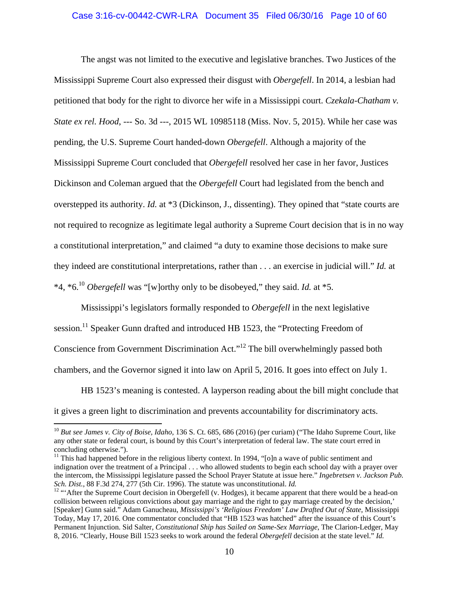### Case 3:16-cv-00442-CWR-LRA Document 35 Filed 06/30/16 Page 10 of 60

 The angst was not limited to the executive and legislative branches. Two Justices of the Mississippi Supreme Court also expressed their disgust with *Obergefell*. In 2014, a lesbian had petitioned that body for the right to divorce her wife in a Mississippi court. *Czekala-Chatham v. State ex rel. Hood*, --- So. 3d ---, 2015 WL 10985118 (Miss. Nov. 5, 2015). While her case was pending, the U.S. Supreme Court handed-down *Obergefell*. Although a majority of the Mississippi Supreme Court concluded that *Obergefell* resolved her case in her favor, Justices Dickinson and Coleman argued that the *Obergefell* Court had legislated from the bench and overstepped its authority. *Id.* at \*3 (Dickinson, J., dissenting). They opined that "state courts are not required to recognize as legitimate legal authority a Supreme Court decision that is in no way a constitutional interpretation," and claimed "a duty to examine those decisions to make sure they indeed are constitutional interpretations, rather than . . . an exercise in judicial will." *Id.* at \*4, \*6.<sup>10</sup> *Obergefell* was "[w]orthy only to be disobeyed," they said. *Id.* at \*5.

 Mississippi's legislators formally responded to *Obergefell* in the next legislative session.<sup>11</sup> Speaker Gunn drafted and introduced HB 1523, the "Protecting Freedom of Conscience from Government Discrimination Act."<sup>12</sup> The bill overwhelmingly passed both chambers, and the Governor signed it into law on April 5, 2016. It goes into effect on July 1.

 HB 1523's meaning is contested. A layperson reading about the bill might conclude that it gives a green light to discrimination and prevents accountability for discriminatory acts.

<sup>10</sup> *But see James v. City of Boise, Idaho*, 136 S. Ct. 685, 686 (2016) (per curiam) ("The Idaho Supreme Court, like any other state or federal court, is bound by this Court's interpretation of federal law. The state court erred in concluding otherwise.").

 $11$  This had happened before in the religious liberty context. In 1994, "[o]n a wave of public sentiment and indignation over the treatment of a Principal . . . who allowed students to begin each school day with a prayer over the intercom, the Mississippi legislature passed the School Prayer Statute at issue here." *Ingebretsen v. Jackson Pub. Sch. Dist.*, 88 F.3d 274, 277 (5th Cir. 1996). The statute was unconstitutional. *Id.* <sup>12</sup> "After the Supreme Court decision in Obergefell (v. Hodges), it became apparent that there would be a head-on

collision between religious convictions about gay marriage and the right to gay marriage created by the decision,' [Speaker] Gunn said." Adam Ganucheau, *Mississippi's 'Religious Freedom' Law Drafted Out of State*, Mississippi Today, May 17, 2016. One commentator concluded that "HB 1523 was hatched" after the issuance of this Court's Permanent Injunction. Sid Salter, *Constitutional Ship has Sailed on Same-Sex Marriage*, The Clarion-Ledger, May 8, 2016. "Clearly, House Bill 1523 seeks to work around the federal *Obergefell* decision at the state level." *Id.*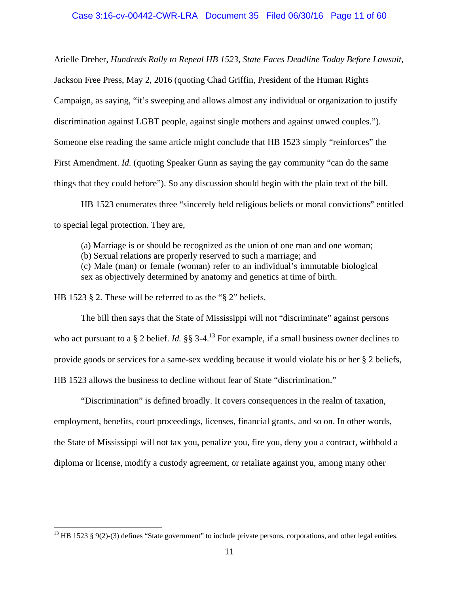Arielle Dreher, *Hundreds Rally to Repeal HB 1523, State Faces Deadline Today Before Lawsuit*, Jackson Free Press, May 2, 2016 (quoting Chad Griffin, President of the Human Rights Campaign, as saying, "it's sweeping and allows almost any individual or organization to justify discrimination against LGBT people, against single mothers and against unwed couples."). Someone else reading the same article might conclude that HB 1523 simply "reinforces" the First Amendment. *Id.* (quoting Speaker Gunn as saying the gay community "can do the same things that they could before"). So any discussion should begin with the plain text of the bill.

 HB 1523 enumerates three "sincerely held religious beliefs or moral convictions" entitled to special legal protection. They are,

(a) Marriage is or should be recognized as the union of one man and one woman;

(b) Sexual relations are properly reserved to such a marriage; and

(c) Male (man) or female (woman) refer to an individual's immutable biological sex as objectively determined by anatomy and genetics at time of birth.

HB 1523 § 2. These will be referred to as the "§ 2" beliefs.

 $\overline{a}$ 

 The bill then says that the State of Mississippi will not "discriminate" against persons who act pursuant to a § 2 belief. *Id.* §§ 3-4.<sup>13</sup> For example, if a small business owner declines to provide goods or services for a same-sex wedding because it would violate his or her § 2 beliefs, HB 1523 allows the business to decline without fear of State "discrimination."

 "Discrimination" is defined broadly. It covers consequences in the realm of taxation, employment, benefits, court proceedings, licenses, financial grants, and so on. In other words, the State of Mississippi will not tax you, penalize you, fire you, deny you a contract, withhold a diploma or license, modify a custody agreement, or retaliate against you, among many other

 $^{13}$  HB 1523 § 9(2)-(3) defines "State government" to include private persons, corporations, and other legal entities.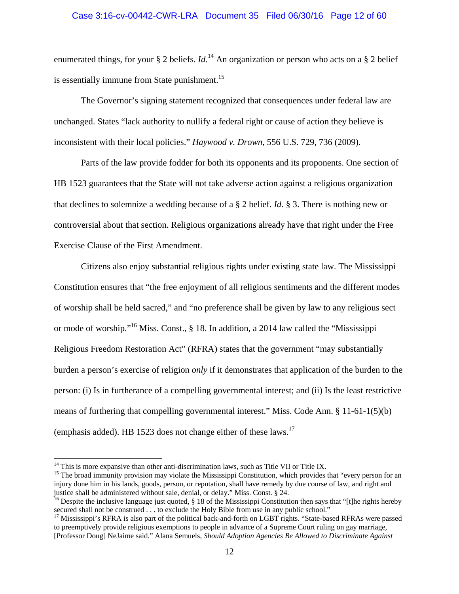### Case 3:16-cv-00442-CWR-LRA Document 35 Filed 06/30/16 Page 12 of 60

enumerated things, for your § 2 beliefs. *Id.*<sup>14</sup> An organization or person who acts on a § 2 belief is essentially immune from State punishment.<sup>15</sup>

 The Governor's signing statement recognized that consequences under federal law are unchanged. States "lack authority to nullify a federal right or cause of action they believe is inconsistent with their local policies." *Haywood v. Drown*, 556 U.S. 729, 736 (2009).

 Parts of the law provide fodder for both its opponents and its proponents. One section of HB 1523 guarantees that the State will not take adverse action against a religious organization that declines to solemnize a wedding because of a § 2 belief. *Id.* § 3. There is nothing new or controversial about that section. Religious organizations already have that right under the Free Exercise Clause of the First Amendment.

 Citizens also enjoy substantial religious rights under existing state law. The Mississippi Constitution ensures that "the free enjoyment of all religious sentiments and the different modes of worship shall be held sacred," and "no preference shall be given by law to any religious sect or mode of worship."<sup>16</sup> Miss. Const., § 18. In addition, a 2014 law called the "Mississippi" Religious Freedom Restoration Act" (RFRA) states that the government "may substantially burden a person's exercise of religion *only* if it demonstrates that application of the burden to the person: (i) Is in furtherance of a compelling governmental interest; and (ii) Is the least restrictive means of furthering that compelling governmental interest." Miss. Code Ann. § 11-61-1(5)(b) (emphasis added). HB 1523 does not change either of these laws.17

 $14$  This is more expansive than other anti-discrimination laws, such as Title VII or Title IX.

<sup>&</sup>lt;sup>15</sup> The broad immunity provision may violate the Mississippi Constitution, which provides that "every person for an injury done him in his lands, goods, person, or reputation, shall have remedy by due course of law, and right and justice shall be administered without sale, denial, or delay." Miss. Const. § 24.

<sup>&</sup>lt;sup>16</sup> Despite the inclusive language just quoted, § 18 of the Mississippi Constitution then says that "[t]he rights hereby secured shall not be construed . . . to exclude the Holy Bible from use in any public school."

<sup>&</sup>lt;sup>17</sup> Mississippi's RFRA is also part of the political back-and-forth on LGBT rights. "State-based RFRAs were passed to preemptively provide religious exemptions to people in advance of a Supreme Court ruling on gay marriage, [Professor Doug] NeJaime said." Alana Semuels, *Should Adoption Agencies Be Allowed to Discriminate Against*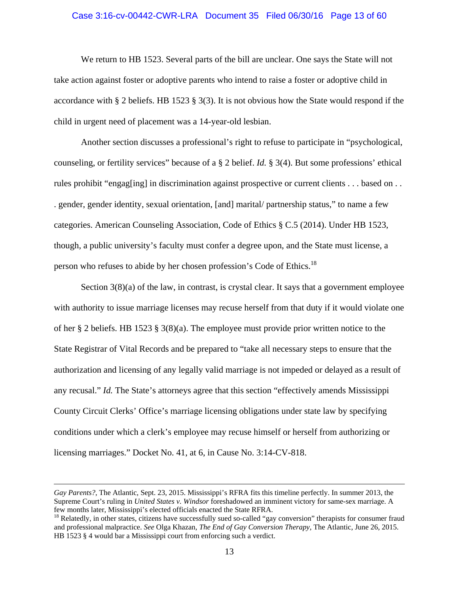## Case 3:16-cv-00442-CWR-LRA Document 35 Filed 06/30/16 Page 13 of 60

 We return to HB 1523. Several parts of the bill are unclear. One says the State will not take action against foster or adoptive parents who intend to raise a foster or adoptive child in accordance with § 2 beliefs. HB 1523 § 3(3). It is not obvious how the State would respond if the child in urgent need of placement was a 14-year-old lesbian.

 Another section discusses a professional's right to refuse to participate in "psychological, counseling, or fertility services" because of a § 2 belief. *Id.* § 3(4). But some professions' ethical rules prohibit "engag[ing] in discrimination against prospective or current clients . . . based on . . . gender, gender identity, sexual orientation, [and] marital/ partnership status," to name a few categories. American Counseling Association, Code of Ethics § C.5 (2014). Under HB 1523, though, a public university's faculty must confer a degree upon, and the State must license, a person who refuses to abide by her chosen profession's Code of Ethics.<sup>18</sup>

Section  $3(8)(a)$  of the law, in contrast, is crystal clear. It says that a government employee with authority to issue marriage licenses may recuse herself from that duty if it would violate one of her § 2 beliefs. HB 1523 § 3(8)(a). The employee must provide prior written notice to the State Registrar of Vital Records and be prepared to "take all necessary steps to ensure that the authorization and licensing of any legally valid marriage is not impeded or delayed as a result of any recusal." *Id.* The State's attorneys agree that this section "effectively amends Mississippi County Circuit Clerks' Office's marriage licensing obligations under state law by specifying conditions under which a clerk's employee may recuse himself or herself from authorizing or licensing marriages." Docket No. 41, at 6, in Cause No. 3:14-CV-818.

*Gay Parents?*, The Atlantic, Sept. 23, 2015. Mississippi's RFRA fits this timeline perfectly. In summer 2013, the Supreme Court's ruling in *United States v. Windsor* foreshadowed an imminent victory for same-sex marriage. A few months later, Mississippi's elected officials enacted the State RFRA.<br><sup>18</sup> Relatedly, in other states, citizens have successfully sued so-called "gay conversion" therapists for consumer fraud

and professional malpractice. *See* Olga Khazan, *The End of Gay Conversion Therapy*, The Atlantic, June 26, 2015. HB 1523 § 4 would bar a Mississippi court from enforcing such a verdict.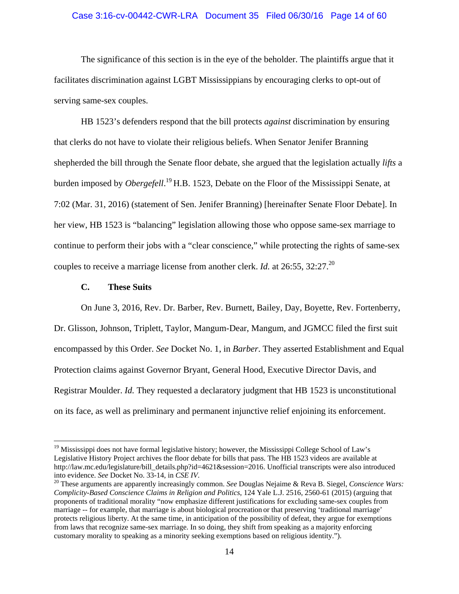## Case 3:16-cv-00442-CWR-LRA Document 35 Filed 06/30/16 Page 14 of 60

 The significance of this section is in the eye of the beholder. The plaintiffs argue that it facilitates discrimination against LGBT Mississippians by encouraging clerks to opt-out of serving same-sex couples.

 HB 1523's defenders respond that the bill protects *against* discrimination by ensuring that clerks do not have to violate their religious beliefs. When Senator Jenifer Branning shepherded the bill through the Senate floor debate, she argued that the legislation actually *lifts* a burden imposed by *Obergefell*. 19 H.B. 1523, Debate on the Floor of the Mississippi Senate, at 7:02 (Mar. 31, 2016) (statement of Sen. Jenifer Branning) [hereinafter Senate Floor Debate]. In her view, HB 1523 is "balancing" legislation allowing those who oppose same-sex marriage to continue to perform their jobs with a "clear conscience," while protecting the rights of same-sex couples to receive a marriage license from another clerk. *Id.* at 26:55, 32:27.<sup>20</sup>

## **C. These Suits**

1

 On June 3, 2016, Rev. Dr. Barber, Rev. Burnett, Bailey, Day, Boyette, Rev. Fortenberry, Dr. Glisson, Johnson, Triplett, Taylor, Mangum-Dear, Mangum, and JGMCC filed the first suit encompassed by this Order. *See* Docket No. 1, in *Barber*. They asserted Establishment and Equal Protection claims against Governor Bryant, General Hood, Executive Director Davis, and Registrar Moulder. *Id.* They requested a declaratory judgment that HB 1523 is unconstitutional on its face, as well as preliminary and permanent injunctive relief enjoining its enforcement.

<sup>&</sup>lt;sup>19</sup> Mississippi does not have formal legislative history; however, the Mississippi College School of Law's Legislative History Project archives the floor debate for bills that pass. The HB 1523 videos are available at http://law.mc.edu/legislature/bill\_details.php?id=4621&session=2016. Unofficial transcripts were also introduced into evidence. *See* Docket No. 33-14, in *CSE IV*.<br><sup>20</sup> These arguments are apparently increasingly common. *See* Douglas Nejaime & Reva B. Siegel, *Conscience Wars:* 

*Complicity-Based Conscience Claims in Religion and Politics*, 124 Yale L.J. 2516, 2560-61 (2015) (arguing that proponents of traditional morality "now emphasize different justifications for excluding same-sex couples from marriage -- for example, that marriage is about biological procreation or that preserving 'traditional marriage' protects religious liberty. At the same time, in anticipation of the possibility of defeat, they argue for exemptions from laws that recognize same-sex marriage. In so doing, they shift from speaking as a majority enforcing customary morality to speaking as a minority seeking exemptions based on religious identity.").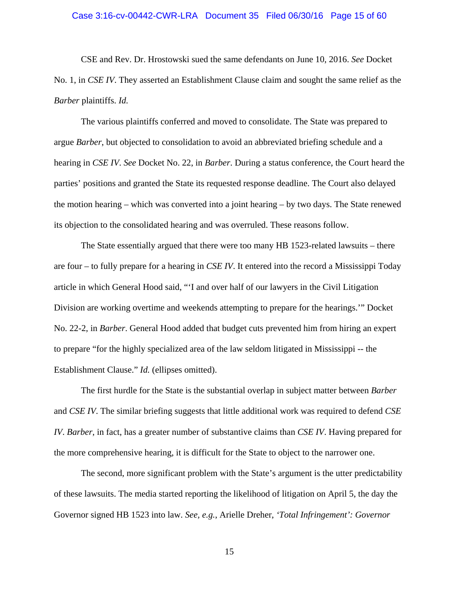## Case 3:16-cv-00442-CWR-LRA Document 35 Filed 06/30/16 Page 15 of 60

 CSE and Rev. Dr. Hrostowski sued the same defendants on June 10, 2016. *See* Docket No. 1, in *CSE IV*. They asserted an Establishment Clause claim and sought the same relief as the *Barber* plaintiffs. *Id.*

The various plaintiffs conferred and moved to consolidate. The State was prepared to argue *Barber*, but objected to consolidation to avoid an abbreviated briefing schedule and a hearing in *CSE IV*. *See* Docket No. 22, in *Barber*. During a status conference, the Court heard the parties' positions and granted the State its requested response deadline. The Court also delayed the motion hearing – which was converted into a joint hearing – by two days. The State renewed its objection to the consolidated hearing and was overruled. These reasons follow.

 The State essentially argued that there were too many HB 1523-related lawsuits – there are four – to fully prepare for a hearing in *CSE IV*. It entered into the record a Mississippi Today article in which General Hood said, "'I and over half of our lawyers in the Civil Litigation Division are working overtime and weekends attempting to prepare for the hearings.'" Docket No. 22-2, in *Barber*. General Hood added that budget cuts prevented him from hiring an expert to prepare "for the highly specialized area of the law seldom litigated in Mississippi -- the Establishment Clause." *Id.* (ellipses omitted).

 The first hurdle for the State is the substantial overlap in subject matter between *Barber* and *CSE IV*. The similar briefing suggests that little additional work was required to defend *CSE IV*. *Barber*, in fact, has a greater number of substantive claims than *CSE IV*. Having prepared for the more comprehensive hearing, it is difficult for the State to object to the narrower one.

 The second, more significant problem with the State's argument is the utter predictability of these lawsuits. The media started reporting the likelihood of litigation on April 5, the day the Governor signed HB 1523 into law. *See, e.g.*, Arielle Dreher, *'Total Infringement': Governor*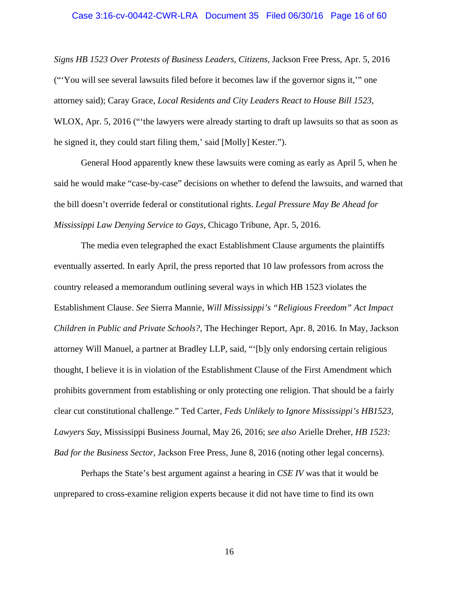## Case 3:16-cv-00442-CWR-LRA Document 35 Filed 06/30/16 Page 16 of 60

*Signs HB 1523 Over Protests of Business Leaders, Citizens*, Jackson Free Press, Apr. 5, 2016 ("'You will see several lawsuits filed before it becomes law if the governor signs it,'" one attorney said); Caray Grace, *Local Residents and City Leaders React to House Bill 1523*, WLOX, Apr. 5, 2016 ("the lawyers were already starting to draft up lawsuits so that as soon as he signed it, they could start filing them,' said [Molly] Kester.").

General Hood apparently knew these lawsuits were coming as early as April 5, when he said he would make "case-by-case" decisions on whether to defend the lawsuits, and warned that the bill doesn't override federal or constitutional rights. *Legal Pressure May Be Ahead for Mississippi Law Denying Service to Gays*, Chicago Tribune, Apr. 5, 2016.

 The media even telegraphed the exact Establishment Clause arguments the plaintiffs eventually asserted. In early April, the press reported that 10 law professors from across the country released a memorandum outlining several ways in which HB 1523 violates the Establishment Clause. *See* Sierra Mannie, *Will Mississippi's "Religious Freedom" Act Impact Children in Public and Private Schools?*, The Hechinger Report, Apr. 8, 2016. In May, Jackson attorney Will Manuel, a partner at Bradley LLP, said, "'[b]y only endorsing certain religious thought, I believe it is in violation of the Establishment Clause of the First Amendment which prohibits government from establishing or only protecting one religion. That should be a fairly clear cut constitutional challenge." Ted Carter, *Feds Unlikely to Ignore Mississippi's HB1523, Lawyers Say*, Mississippi Business Journal, May 26, 2016; *see also* Arielle Dreher, *HB 1523: Bad for the Business Sector*, Jackson Free Press, June 8, 2016 (noting other legal concerns).

 Perhaps the State's best argument against a hearing in *CSE IV* was that it would be unprepared to cross-examine religion experts because it did not have time to find its own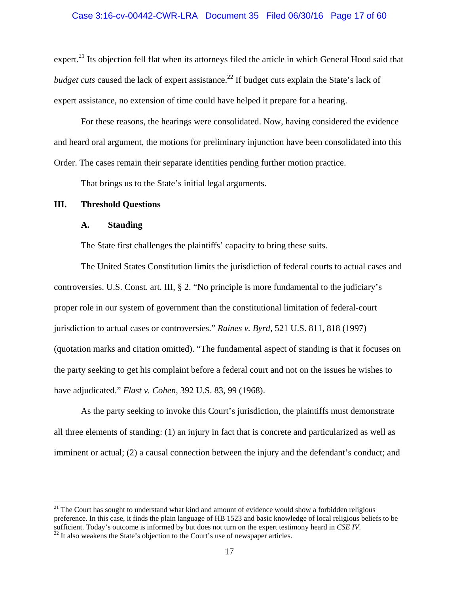### Case 3:16-cv-00442-CWR-LRA Document 35 Filed 06/30/16 Page 17 of 60

expert.<sup>21</sup> Its objection fell flat when its attorneys filed the article in which General Hood said that *budget cuts* caused the lack of expert assistance.<sup>22</sup> If budget cuts explain the State's lack of expert assistance, no extension of time could have helped it prepare for a hearing.

 For these reasons, the hearings were consolidated. Now, having considered the evidence and heard oral argument, the motions for preliminary injunction have been consolidated into this Order. The cases remain their separate identities pending further motion practice.

That brings us to the State's initial legal arguments.

## **III. Threshold Questions**

 $\overline{a}$ 

## **A. Standing**

The State first challenges the plaintiffs' capacity to bring these suits.

 The United States Constitution limits the jurisdiction of federal courts to actual cases and controversies. U.S. Const. art. III, § 2. "No principle is more fundamental to the judiciary's proper role in our system of government than the constitutional limitation of federal-court jurisdiction to actual cases or controversies." *Raines v. Byrd*, 521 U.S. 811, 818 (1997) (quotation marks and citation omitted). "The fundamental aspect of standing is that it focuses on the party seeking to get his complaint before a federal court and not on the issues he wishes to have adjudicated." *Flast v. Cohen*, 392 U.S. 83, 99 (1968).

 As the party seeking to invoke this Court's jurisdiction, the plaintiffs must demonstrate all three elements of standing: (1) an injury in fact that is concrete and particularized as well as imminent or actual; (2) a causal connection between the injury and the defendant's conduct; and

 $21$  The Court has sought to understand what kind and amount of evidence would show a forbidden religious preference. In this case, it finds the plain language of HB 1523 and basic knowledge of local religious beliefs to be sufficient. Today's outcome is informed by but does not turn on the expert testimony heard in *CSE IV*.<br><sup>22</sup> It also weakens the State's objection to the Court's use of newspaper articles.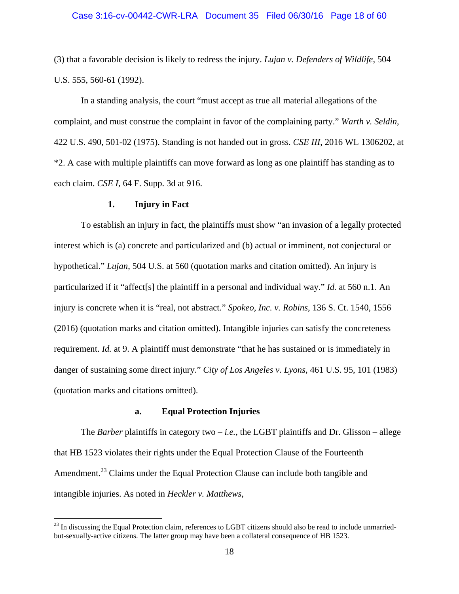# Case 3:16-cv-00442-CWR-LRA Document 35 Filed 06/30/16 Page 18 of 60

(3) that a favorable decision is likely to redress the injury. *Lujan v. Defenders of Wildlife*, 504 U.S. 555, 560-61 (1992).

 In a standing analysis, the court "must accept as true all material allegations of the complaint, and must construe the complaint in favor of the complaining party." *Warth v. Seldin*, 422 U.S. 490, 501-02 (1975). Standing is not handed out in gross. *CSE III*, 2016 WL 1306202, at \*2. A case with multiple plaintiffs can move forward as long as one plaintiff has standing as to each claim. *CSE I*, 64 F. Supp. 3d at 916.

## **1. Injury in Fact**

 $\overline{a}$ 

 To establish an injury in fact, the plaintiffs must show "an invasion of a legally protected interest which is (a) concrete and particularized and (b) actual or imminent, not conjectural or hypothetical." *Lujan*, 504 U.S. at 560 (quotation marks and citation omitted). An injury is particularized if it "affect[s] the plaintiff in a personal and individual way." *Id.* at 560 n.1. An injury is concrete when it is "real, not abstract." *Spokeo, Inc. v. Robins*, 136 S. Ct. 1540, 1556 (2016) (quotation marks and citation omitted). Intangible injuries can satisfy the concreteness requirement. *Id.* at 9. A plaintiff must demonstrate "that he has sustained or is immediately in danger of sustaining some direct injury." *City of Los Angeles v. Lyons*, 461 U.S. 95, 101 (1983) (quotation marks and citations omitted).

## **a. Equal Protection Injuries**

 The *Barber* plaintiffs in category two – *i.e.*, the LGBT plaintiffs and Dr. Glisson – allege that HB 1523 violates their rights under the Equal Protection Clause of the Fourteenth Amendment.<sup>23</sup> Claims under the Equal Protection Clause can include both tangible and intangible injuries. As noted in *Heckler v. Matthews*,

 $^{23}$  In discussing the Equal Protection claim, references to LGBT citizens should also be read to include unmarriedbut-sexually-active citizens. The latter group may have been a collateral consequence of HB 1523.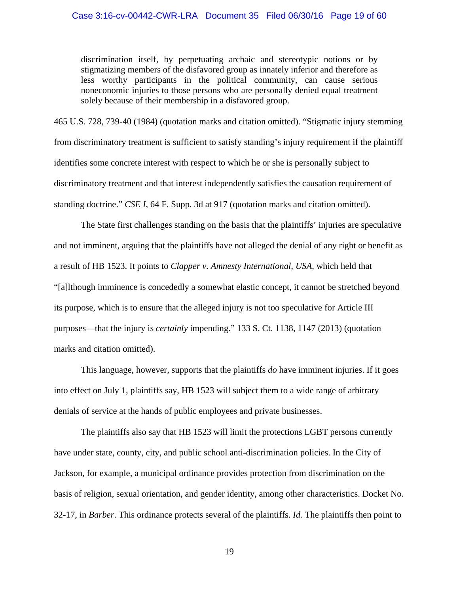discrimination itself, by perpetuating archaic and stereotypic notions or by stigmatizing members of the disfavored group as innately inferior and therefore as less worthy participants in the political community, can cause serious noneconomic injuries to those persons who are personally denied equal treatment solely because of their membership in a disfavored group.

465 U.S. 728, 739-40 (1984) (quotation marks and citation omitted). "Stigmatic injury stemming from discriminatory treatment is sufficient to satisfy standing's injury requirement if the plaintiff identifies some concrete interest with respect to which he or she is personally subject to discriminatory treatment and that interest independently satisfies the causation requirement of standing doctrine." *CSE I*, 64 F. Supp. 3d at 917 (quotation marks and citation omitted).

 The State first challenges standing on the basis that the plaintiffs' injuries are speculative and not imminent, arguing that the plaintiffs have not alleged the denial of any right or benefit as a result of HB 1523. It points to *Clapper v. Amnesty International, USA*, which held that "[a]lthough imminence is concededly a somewhat elastic concept, it cannot be stretched beyond its purpose, which is to ensure that the alleged injury is not too speculative for Article III purposes—that the injury is *certainly* impending." 133 S. Ct. 1138, 1147 (2013) (quotation marks and citation omitted).

 This language, however, supports that the plaintiffs *do* have imminent injuries. If it goes into effect on July 1, plaintiffs say, HB 1523 will subject them to a wide range of arbitrary denials of service at the hands of public employees and private businesses.

The plaintiffs also say that HB 1523 will limit the protections LGBT persons currently have under state, county, city, and public school anti-discrimination policies. In the City of Jackson, for example, a municipal ordinance provides protection from discrimination on the basis of religion, sexual orientation, and gender identity, among other characteristics. Docket No. 32-17, in *Barber*. This ordinance protects several of the plaintiffs. *Id.* The plaintiffs then point to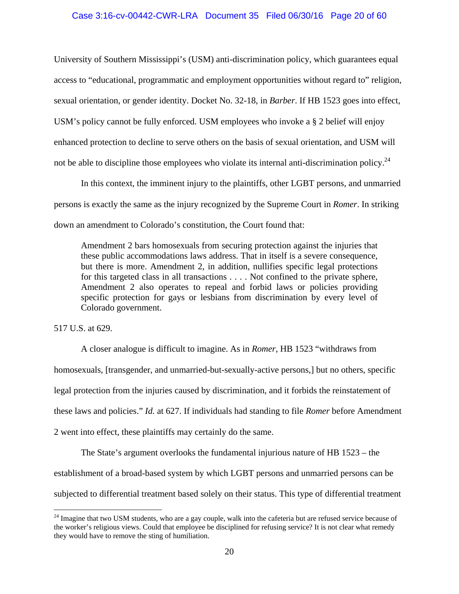## Case 3:16-cv-00442-CWR-LRA Document 35 Filed 06/30/16 Page 20 of 60

University of Southern Mississippi's (USM) anti-discrimination policy, which guarantees equal access to "educational, programmatic and employment opportunities without regard to" religion, sexual orientation, or gender identity. Docket No. 32-18, in *Barber*. If HB 1523 goes into effect, USM's policy cannot be fully enforced. USM employees who invoke a § 2 belief will enjoy enhanced protection to decline to serve others on the basis of sexual orientation, and USM will not be able to discipline those employees who violate its internal anti-discrimination policy.<sup>24</sup>

 In this context, the imminent injury to the plaintiffs, other LGBT persons, and unmarried persons is exactly the same as the injury recognized by the Supreme Court in *Romer*. In striking down an amendment to Colorado's constitution, the Court found that:

Amendment 2 bars homosexuals from securing protection against the injuries that these public accommodations laws address. That in itself is a severe consequence, but there is more. Amendment 2, in addition, nullifies specific legal protections for this targeted class in all transactions . . . . Not confined to the private sphere, Amendment 2 also operates to repeal and forbid laws or policies providing specific protection for gays or lesbians from discrimination by every level of Colorado government.

517 U.S. at 629.

 $\overline{a}$ 

 A closer analogue is difficult to imagine. As in *Romer*, HB 1523 "withdraws from homosexuals, [transgender, and unmarried-but-sexually-active persons,] but no others, specific legal protection from the injuries caused by discrimination, and it forbids the reinstatement of these laws and policies." *Id.* at 627. If individuals had standing to file *Romer* before Amendment 2 went into effect, these plaintiffs may certainly do the same.

 The State's argument overlooks the fundamental injurious nature of HB 1523 – the establishment of a broad-based system by which LGBT persons and unmarried persons can be subjected to differential treatment based solely on their status. This type of differential treatment

<sup>&</sup>lt;sup>24</sup> Imagine that two USM students, who are a gay couple, walk into the cafeteria but are refused service because of the worker's religious views. Could that employee be disciplined for refusing service? It is not clear what remedy they would have to remove the sting of humiliation.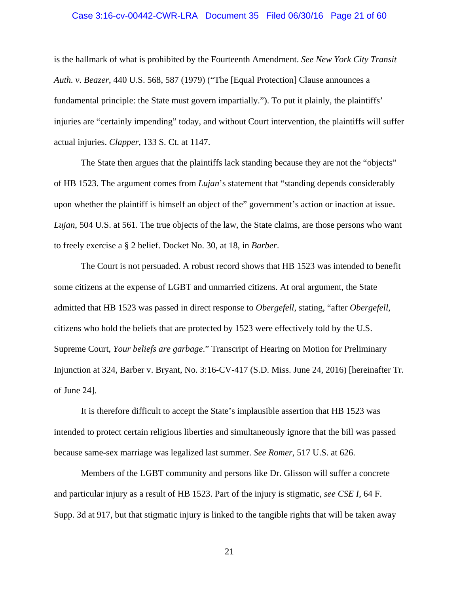# Case 3:16-cv-00442-CWR-LRA Document 35 Filed 06/30/16 Page 21 of 60

is the hallmark of what is prohibited by the Fourteenth Amendment. *See New York City Transit Auth. v. Beazer*, 440 U.S. 568, 587 (1979) ("The [Equal Protection] Clause announces a fundamental principle: the State must govern impartially."). To put it plainly, the plaintiffs' injuries are "certainly impending" today, and without Court intervention, the plaintiffs will suffer actual injuries. *Clapper*, 133 S. Ct. at 1147.

 The State then argues that the plaintiffs lack standing because they are not the "objects" of HB 1523. The argument comes from *Lujan*'s statement that "standing depends considerably upon whether the plaintiff is himself an object of the" government's action or inaction at issue. *Lujan*, 504 U.S. at 561. The true objects of the law, the State claims, are those persons who want to freely exercise a § 2 belief. Docket No. 30, at 18, in *Barber*.

The Court is not persuaded. A robust record shows that HB 1523 was intended to benefit some citizens at the expense of LGBT and unmarried citizens. At oral argument, the State admitted that HB 1523 was passed in direct response to *Obergefell*, stating, "after *Obergefell*, citizens who hold the beliefs that are protected by 1523 were effectively told by the U.S. Supreme Court, *Your beliefs are garbage*." Transcript of Hearing on Motion for Preliminary Injunction at 324, Barber v. Bryant, No. 3:16-CV-417 (S.D. Miss. June 24, 2016) [hereinafter Tr. of June 24].

It is therefore difficult to accept the State's implausible assertion that HB 1523 was intended to protect certain religious liberties and simultaneously ignore that the bill was passed because same-sex marriage was legalized last summer. *See Romer*, 517 U.S. at 626.

 Members of the LGBT community and persons like Dr. Glisson will suffer a concrete and particular injury as a result of HB 1523. Part of the injury is stigmatic, *see CSE I*, 64 F. Supp. 3d at 917, but that stigmatic injury is linked to the tangible rights that will be taken away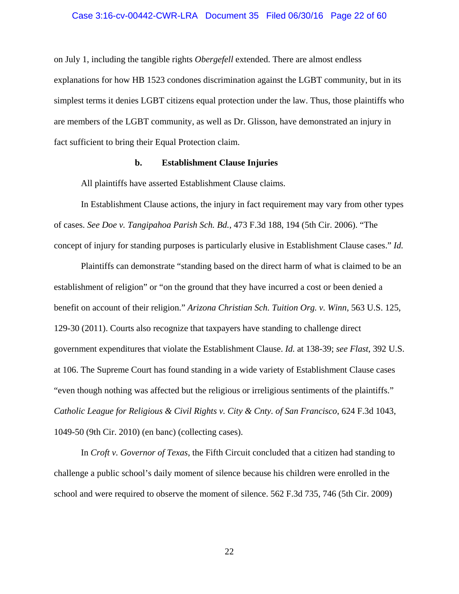## Case 3:16-cv-00442-CWR-LRA Document 35 Filed 06/30/16 Page 22 of 60

on July 1, including the tangible rights *Obergefell* extended. There are almost endless explanations for how HB 1523 condones discrimination against the LGBT community, but in its simplest terms it denies LGBT citizens equal protection under the law. Thus, those plaintiffs who are members of the LGBT community, as well as Dr. Glisson, have demonstrated an injury in fact sufficient to bring their Equal Protection claim.

## **b. Establishment Clause Injuries**

All plaintiffs have asserted Establishment Clause claims.

 In Establishment Clause actions, the injury in fact requirement may vary from other types of cases. *See Doe v. Tangipahoa Parish Sch. Bd.*, 473 F.3d 188, 194 (5th Cir. 2006). "The concept of injury for standing purposes is particularly elusive in Establishment Clause cases." *Id.*

Plaintiffs can demonstrate "standing based on the direct harm of what is claimed to be an establishment of religion" or "on the ground that they have incurred a cost or been denied a benefit on account of their religion." *Arizona Christian Sch. Tuition Org. v. Winn*, 563 U.S. 125, 129-30 (2011). Courts also recognize that taxpayers have standing to challenge direct government expenditures that violate the Establishment Clause. *Id.* at 138-39; *see Flast*, 392 U.S. at 106. The Supreme Court has found standing in a wide variety of Establishment Clause cases "even though nothing was affected but the religious or irreligious sentiments of the plaintiffs." *Catholic League for Religious & Civil Rights v. City & Cnty. of San Francisco*, 624 F.3d 1043, 1049-50 (9th Cir. 2010) (en banc) (collecting cases).

In *Croft v. Governor of Texas*, the Fifth Circuit concluded that a citizen had standing to challenge a public school's daily moment of silence because his children were enrolled in the school and were required to observe the moment of silence. 562 F.3d 735, 746 (5th Cir. 2009)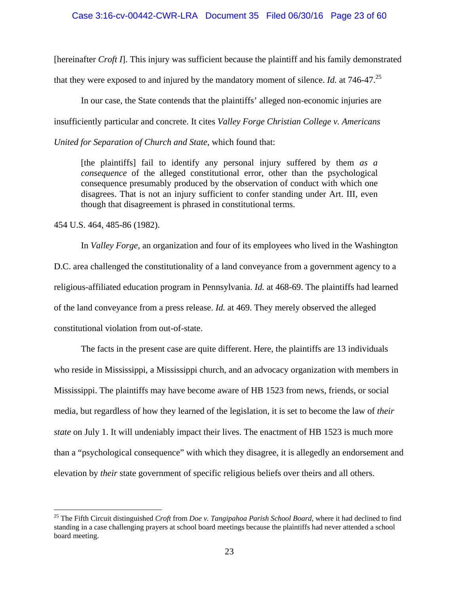[hereinafter *Croft I*]. This injury was sufficient because the plaintiff and his family demonstrated

that they were exposed to and injured by the mandatory moment of silence. *Id.* at 746-47.<sup>25</sup>

 In our case, the State contends that the plaintiffs' alleged non-economic injuries are insufficiently particular and concrete. It cites *Valley Forge Christian College v. Americans United for Separation of Church and State*, which found that:

[the plaintiffs] fail to identify any personal injury suffered by them *as a consequence* of the alleged constitutional error, other than the psychological consequence presumably produced by the observation of conduct with which one disagrees. That is not an injury sufficient to confer standing under Art. III, even though that disagreement is phrased in constitutional terms.

454 U.S. 464, 485-86 (1982).

1

 In *Valley Forge*, an organization and four of its employees who lived in the Washington D.C. area challenged the constitutionality of a land conveyance from a government agency to a religious-affiliated education program in Pennsylvania. *Id.* at 468-69. The plaintiffs had learned of the land conveyance from a press release. *Id.* at 469. They merely observed the alleged constitutional violation from out-of-state.

 The facts in the present case are quite different. Here, the plaintiffs are 13 individuals who reside in Mississippi, a Mississippi church, and an advocacy organization with members in Mississippi. The plaintiffs may have become aware of HB 1523 from news, friends, or social media, but regardless of how they learned of the legislation, it is set to become the law of *their state* on July 1. It will undeniably impact their lives. The enactment of HB 1523 is much more than a "psychological consequence" with which they disagree, it is allegedly an endorsement and elevation by *their* state government of specific religious beliefs over theirs and all others.

<sup>25</sup> The Fifth Circuit distinguished *Croft* from *Doe v. Tangipahoa Parish School Board*, where it had declined to find standing in a case challenging prayers at school board meetings because the plaintiffs had never attended a school board meeting.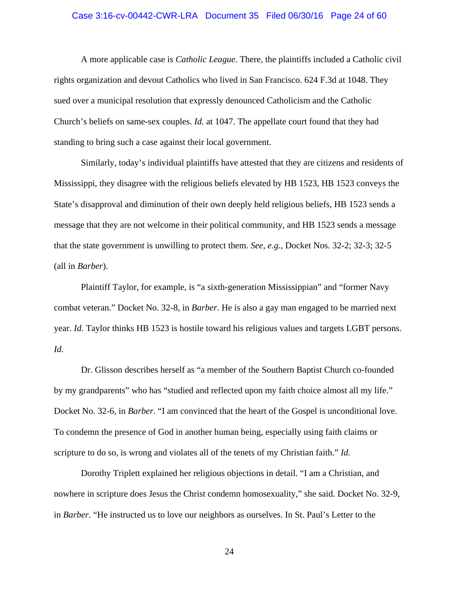# Case 3:16-cv-00442-CWR-LRA Document 35 Filed 06/30/16 Page 24 of 60

 A more applicable case is *Catholic League*. There, the plaintiffs included a Catholic civil rights organization and devout Catholics who lived in San Francisco. 624 F.3d at 1048. They sued over a municipal resolution that expressly denounced Catholicism and the Catholic Church's beliefs on same-sex couples. *Id.* at 1047. The appellate court found that they had standing to bring such a case against their local government.

 Similarly, today's individual plaintiffs have attested that they are citizens and residents of Mississippi, they disagree with the religious beliefs elevated by HB 1523, HB 1523 conveys the State's disapproval and diminution of their own deeply held religious beliefs, HB 1523 sends a message that they are not welcome in their political community, and HB 1523 sends a message that the state government is unwilling to protect them. *See, e.g.*, Docket Nos. 32-2; 32-3; 32-5 (all in *Barber*).

 Plaintiff Taylor, for example, is "a sixth-generation Mississippian" and "former Navy combat veteran." Docket No. 32-8, in *Barber*. He is also a gay man engaged to be married next year. *Id.* Taylor thinks HB 1523 is hostile toward his religious values and targets LGBT persons. *Id.*

 Dr. Glisson describes herself as "a member of the Southern Baptist Church co-founded by my grandparents" who has "studied and reflected upon my faith choice almost all my life." Docket No. 32-6, in *Barber*. "I am convinced that the heart of the Gospel is unconditional love. To condemn the presence of God in another human being, especially using faith claims or scripture to do so, is wrong and violates all of the tenets of my Christian faith." *Id.*

 Dorothy Triplett explained her religious objections in detail. "I am a Christian, and nowhere in scripture does Jesus the Christ condemn homosexuality," she said. Docket No. 32-9, in *Barber*. "He instructed us to love our neighbors as ourselves. In St. Paul's Letter to the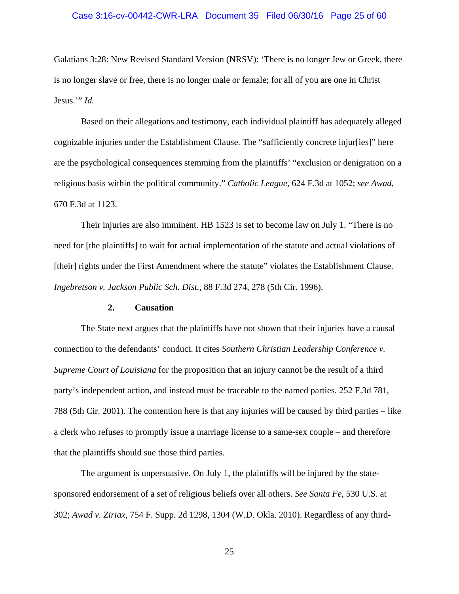## Case 3:16-cv-00442-CWR-LRA Document 35 Filed 06/30/16 Page 25 of 60

Galatians 3:28: New Revised Standard Version (NRSV): 'There is no longer Jew or Greek, there is no longer slave or free, there is no longer male or female; for all of you are one in Christ Jesus.'" *Id.*

 Based on their allegations and testimony, each individual plaintiff has adequately alleged cognizable injuries under the Establishment Clause. The "sufficiently concrete injur[ies]" here are the psychological consequences stemming from the plaintiffs' "exclusion or denigration on a religious basis within the political community." *Catholic League*, 624 F.3d at 1052; *see Awad*, 670 F.3d at 1123.

Their injuries are also imminent. HB 1523 is set to become law on July 1. "There is no need for [the plaintiffs] to wait for actual implementation of the statute and actual violations of [their] rights under the First Amendment where the statute" violates the Establishment Clause. *Ingebretson v. Jackson Public Sch. Dist.*, 88 F.3d 274, 278 (5th Cir. 1996).

## **2. Causation**

 The State next argues that the plaintiffs have not shown that their injuries have a causal connection to the defendants' conduct. It cites *Southern Christian Leadership Conference v. Supreme Court of Louisiana* for the proposition that an injury cannot be the result of a third party's independent action, and instead must be traceable to the named parties. 252 F.3d 781, 788 (5th Cir. 2001). The contention here is that any injuries will be caused by third parties – like a clerk who refuses to promptly issue a marriage license to a same-sex couple – and therefore that the plaintiffs should sue those third parties.

The argument is unpersuasive. On July 1, the plaintiffs will be injured by the statesponsored endorsement of a set of religious beliefs over all others. *See Santa Fe*, 530 U.S. at 302; *Awad v. Ziriax*, 754 F. Supp. 2d 1298, 1304 (W.D. Okla. 2010). Regardless of any third-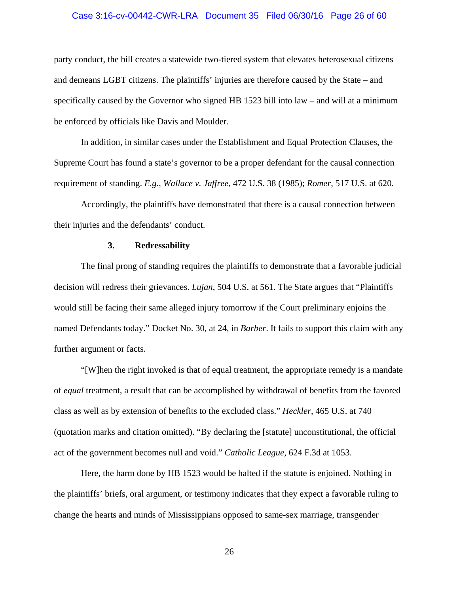## Case 3:16-cv-00442-CWR-LRA Document 35 Filed 06/30/16 Page 26 of 60

party conduct, the bill creates a statewide two-tiered system that elevates heterosexual citizens and demeans LGBT citizens. The plaintiffs' injuries are therefore caused by the State – and specifically caused by the Governor who signed HB 1523 bill into law – and will at a minimum be enforced by officials like Davis and Moulder.

 In addition, in similar cases under the Establishment and Equal Protection Clauses, the Supreme Court has found a state's governor to be a proper defendant for the causal connection requirement of standing. *E.g.*, *Wallace v. Jaffree*, 472 U.S. 38 (1985); *Romer,* 517 U.S. at 620.

Accordingly, the plaintiffs have demonstrated that there is a causal connection between their injuries and the defendants' conduct.

## **3. Redressability**

 The final prong of standing requires the plaintiffs to demonstrate that a favorable judicial decision will redress their grievances. *Lujan*, 504 U.S. at 561. The State argues that "Plaintiffs would still be facing their same alleged injury tomorrow if the Court preliminary enjoins the named Defendants today." Docket No. 30, at 24, in *Barber*. It fails to support this claim with any further argument or facts.

 "[W]hen the right invoked is that of equal treatment, the appropriate remedy is a mandate of *equal* treatment, a result that can be accomplished by withdrawal of benefits from the favored class as well as by extension of benefits to the excluded class." *Heckler*, 465 U.S. at 740 (quotation marks and citation omitted). "By declaring the [statute] unconstitutional, the official act of the government becomes null and void." *Catholic League*, 624 F.3d at 1053.

 Here, the harm done by HB 1523 would be halted if the statute is enjoined. Nothing in the plaintiffs' briefs, oral argument, or testimony indicates that they expect a favorable ruling to change the hearts and minds of Mississippians opposed to same-sex marriage, transgender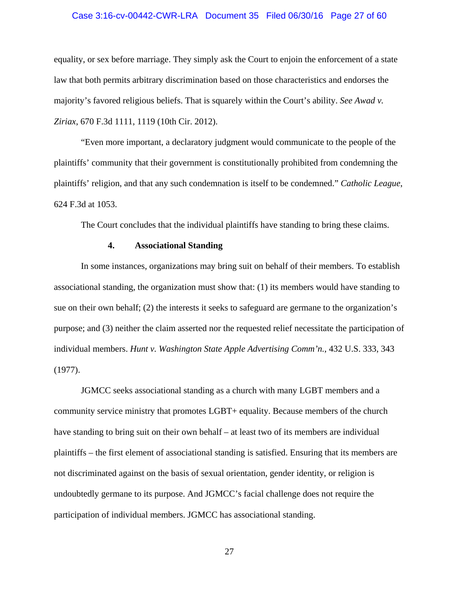# Case 3:16-cv-00442-CWR-LRA Document 35 Filed 06/30/16 Page 27 of 60

equality, or sex before marriage. They simply ask the Court to enjoin the enforcement of a state law that both permits arbitrary discrimination based on those characteristics and endorses the majority's favored religious beliefs. That is squarely within the Court's ability. *See Awad v. Ziriax*, 670 F.3d 1111, 1119 (10th Cir. 2012).

 "Even more important, a declaratory judgment would communicate to the people of the plaintiffs' community that their government is constitutionally prohibited from condemning the plaintiffs' religion, and that any such condemnation is itself to be condemned." *Catholic League*, 624 F.3d at 1053.

The Court concludes that the individual plaintiffs have standing to bring these claims.

## **4. Associational Standing**

In some instances, organizations may bring suit on behalf of their members. To establish associational standing, the organization must show that: (1) its members would have standing to sue on their own behalf; (2) the interests it seeks to safeguard are germane to the organization's purpose; and (3) neither the claim asserted nor the requested relief necessitate the participation of individual members. *Hunt v. Washington State Apple Advertising Comm'n.*, 432 U.S. 333, 343 (1977).

 JGMCC seeks associational standing as a church with many LGBT members and a community service ministry that promotes LGBT+ equality. Because members of the church have standing to bring suit on their own behalf – at least two of its members are individual plaintiffs – the first element of associational standing is satisfied. Ensuring that its members are not discriminated against on the basis of sexual orientation, gender identity, or religion is undoubtedly germane to its purpose. And JGMCC's facial challenge does not require the participation of individual members. JGMCC has associational standing.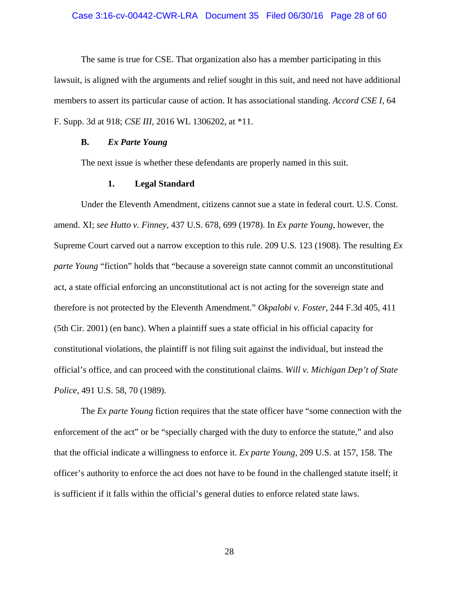## Case 3:16-cv-00442-CWR-LRA Document 35 Filed 06/30/16 Page 28 of 60

 The same is true for CSE. That organization also has a member participating in this lawsuit, is aligned with the arguments and relief sought in this suit, and need not have additional members to assert its particular cause of action. It has associational standing. *Accord CSE I*, 64 F. Supp. 3d at 918; *CSE III*, 2016 WL 1306202, at \*11.

## **B.** *Ex Parte Young*

The next issue is whether these defendants are properly named in this suit.

## **1. Legal Standard**

Under the Eleventh Amendment, citizens cannot sue a state in federal court. U.S. Const. amend. XI; *see Hutto v. Finney*, 437 U.S. 678, 699 (1978). In *Ex parte Young*, however, the Supreme Court carved out a narrow exception to this rule. 209 U.S. 123 (1908). The resulting *Ex parte Young* "fiction" holds that "because a sovereign state cannot commit an unconstitutional act, a state official enforcing an unconstitutional act is not acting for the sovereign state and therefore is not protected by the Eleventh Amendment." *Okpalobi v. Foster*, 244 F.3d 405, 411 (5th Cir. 2001) (en banc). When a plaintiff sues a state official in his official capacity for constitutional violations, the plaintiff is not filing suit against the individual, but instead the official's office, and can proceed with the constitutional claims. *Will v. Michigan Dep't of State Police*, 491 U.S. 58, 70 (1989).

The *Ex parte Young* fiction requires that the state officer have "some connection with the enforcement of the act" or be "specially charged with the duty to enforce the statute," and also that the official indicate a willingness to enforce it. *Ex parte Young*, 209 U.S. at 157, 158. The officer's authority to enforce the act does not have to be found in the challenged statute itself; it is sufficient if it falls within the official's general duties to enforce related state laws.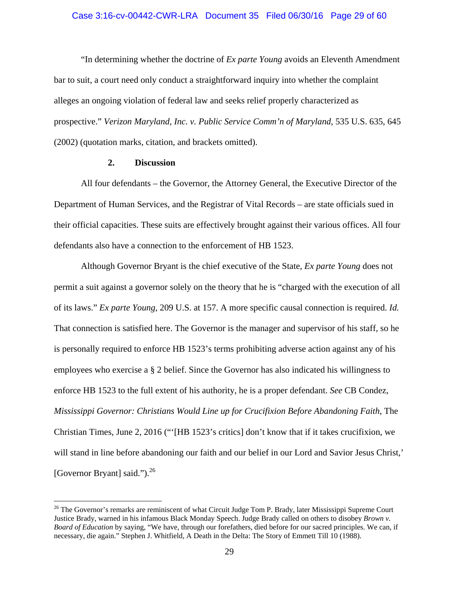#### Case 3:16-cv-00442-CWR-LRA Document 35 Filed 06/30/16 Page 29 of 60

 "In determining whether the doctrine of *Ex parte Young* avoids an Eleventh Amendment bar to suit, a court need only conduct a straightforward inquiry into whether the complaint alleges an ongoing violation of federal law and seeks relief properly characterized as prospective." *Verizon Maryland, Inc. v. Public Service Comm'n of Maryland*, 535 U.S. 635, 645 (2002) (quotation marks, citation, and brackets omitted).

## **2. Discussion**

 $\overline{a}$ 

 All four defendants – the Governor, the Attorney General, the Executive Director of the Department of Human Services, and the Registrar of Vital Records – are state officials sued in their official capacities. These suits are effectively brought against their various offices. All four defendants also have a connection to the enforcement of HB 1523.

 Although Governor Bryant is the chief executive of the State, *Ex parte Young* does not permit a suit against a governor solely on the theory that he is "charged with the execution of all of its laws." *Ex parte Young*, 209 U.S. at 157. A more specific causal connection is required. *Id.* That connection is satisfied here. The Governor is the manager and supervisor of his staff, so he is personally required to enforce HB 1523's terms prohibiting adverse action against any of his employees who exercise a § 2 belief. Since the Governor has also indicated his willingness to enforce HB 1523 to the full extent of his authority, he is a proper defendant. *See* CB Condez, *Mississippi Governor: Christians Would Line up for Crucifixion Before Abandoning Faith*, The Christian Times, June 2, 2016 ("'[HB 1523's critics] don't know that if it takes crucifixion, we will stand in line before abandoning our faith and our belief in our Lord and Savior Jesus Christ,' [Governor Bryant] said.").<sup>26</sup>

<sup>&</sup>lt;sup>26</sup> The Governor's remarks are reminiscent of what Circuit Judge Tom P. Brady, later Mississippi Supreme Court Justice Brady, warned in his infamous Black Monday Speech. Judge Brady called on others to disobey *Brown v. Board of Education* by saying, "We have, through our forefathers, died before for our sacred principles. We can, if necessary, die again." Stephen J. Whitfield, A Death in the Delta: The Story of Emmett Till 10 (1988).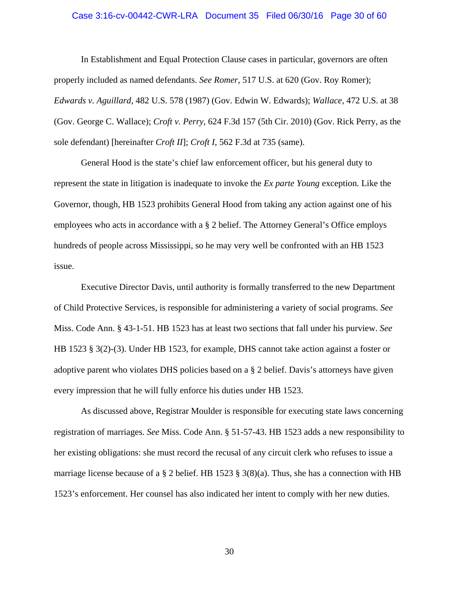# Case 3:16-cv-00442-CWR-LRA Document 35 Filed 06/30/16 Page 30 of 60

In Establishment and Equal Protection Clause cases in particular, governors are often properly included as named defendants. *See Romer,* 517 U.S. at 620 (Gov. Roy Romer); *Edwards v. Aguillard*, 482 U.S. 578 (1987) (Gov. Edwin W. Edwards); *Wallace*, 472 U.S. at 38 (Gov. George C. Wallace); *Croft v. Perry*, 624 F.3d 157 (5th Cir. 2010) (Gov. Rick Perry, as the sole defendant) [hereinafter *Croft II*]; *Croft I*, 562 F.3d at 735 (same).

 General Hood is the state's chief law enforcement officer, but his general duty to represent the state in litigation is inadequate to invoke the *Ex parte Young* exception. Like the Governor, though, HB 1523 prohibits General Hood from taking any action against one of his employees who acts in accordance with a § 2 belief. The Attorney General's Office employs hundreds of people across Mississippi, so he may very well be confronted with an HB 1523 issue.

 Executive Director Davis, until authority is formally transferred to the new Department of Child Protective Services, is responsible for administering a variety of social programs. *See*  Miss. Code Ann. § 43-1-51. HB 1523 has at least two sections that fall under his purview. *See*  HB 1523 § 3(2)-(3). Under HB 1523, for example, DHS cannot take action against a foster or adoptive parent who violates DHS policies based on a § 2 belief. Davis's attorneys have given every impression that he will fully enforce his duties under HB 1523.

 As discussed above, Registrar Moulder is responsible for executing state laws concerning registration of marriages. *See* Miss. Code Ann. § 51-57-43. HB 1523 adds a new responsibility to her existing obligations: she must record the recusal of any circuit clerk who refuses to issue a marriage license because of a  $\S$  2 belief. HB 1523  $\S$  3(8)(a). Thus, she has a connection with HB 1523's enforcement. Her counsel has also indicated her intent to comply with her new duties.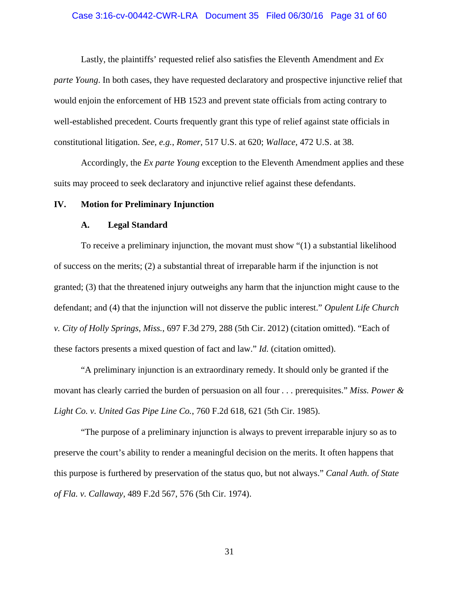## Case 3:16-cv-00442-CWR-LRA Document 35 Filed 06/30/16 Page 31 of 60

 Lastly, the plaintiffs' requested relief also satisfies the Eleventh Amendment and *Ex parte Young*. In both cases, they have requested declaratory and prospective injunctive relief that would enjoin the enforcement of HB 1523 and prevent state officials from acting contrary to well-established precedent. Courts frequently grant this type of relief against state officials in constitutional litigation. *See, e.g.*, *Romer*, 517 U.S. at 620; *Wallace*, 472 U.S. at 38.

 Accordingly, the *Ex parte Young* exception to the Eleventh Amendment applies and these suits may proceed to seek declaratory and injunctive relief against these defendants.

## **IV. Motion for Preliminary Injunction**

## **A. Legal Standard**

 To receive a preliminary injunction, the movant must show "(1) a substantial likelihood of success on the merits; (2) a substantial threat of irreparable harm if the injunction is not granted; (3) that the threatened injury outweighs any harm that the injunction might cause to the defendant; and (4) that the injunction will not disserve the public interest." *Opulent Life Church v. City of Holly Springs, Miss.*, 697 F.3d 279, 288 (5th Cir. 2012) (citation omitted). "Each of these factors presents a mixed question of fact and law." *Id.* (citation omitted).

 "A preliminary injunction is an extraordinary remedy. It should only be granted if the movant has clearly carried the burden of persuasion on all four *. . .* prerequisites." *Miss. Power & Light Co. v. United Gas Pipe Line Co.*, 760 F.2d 618, 621 (5th Cir. 1985).

 "The purpose of a preliminary injunction is always to prevent irreparable injury so as to preserve the court's ability to render a meaningful decision on the merits. It often happens that this purpose is furthered by preservation of the status quo, but not always." *Canal Auth. of State of Fla. v. Callaway*, 489 F.2d 567, 576 (5th Cir. 1974).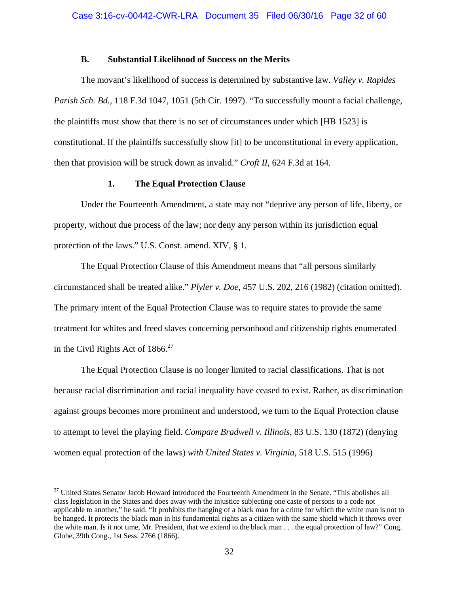## **B. Substantial Likelihood of Success on the Merits**

 The movant's likelihood of success is determined by substantive law. *Valley v. Rapides Parish Sch. Bd.*, 118 F.3d 1047, 1051 (5th Cir. 1997). "To successfully mount a facial challenge, the plaintiffs must show that there is no set of circumstances under which [HB 1523] is constitutional. If the plaintiffs successfully show [it] to be unconstitutional in every application, then that provision will be struck down as invalid." *Croft II*, 624 F.3d at 164.

## **1. The Equal Protection Clause**

 Under the Fourteenth Amendment, a state may not "deprive any person of life, liberty, or property, without due process of the law; nor deny any person within its jurisdiction equal protection of the laws." U.S. Const. amend. XIV, § 1.

The Equal Protection Clause of this Amendment means that "all persons similarly circumstanced shall be treated alike." *Plyler v. Doe*, 457 U.S. 202, 216 (1982) (citation omitted). The primary intent of the Equal Protection Clause was to require states to provide the same treatment for whites and freed slaves concerning personhood and citizenship rights enumerated in the Civil Rights Act of  $1866.<sup>27</sup>$ 

 The Equal Protection Clause is no longer limited to racial classifications. That is not because racial discrimination and racial inequality have ceased to exist. Rather, as discrimination against groups becomes more prominent and understood, we turn to the Equal Protection clause to attempt to level the playing field. *Compare Bradwell v. Illinois*, 83 U.S. 130 (1872) (denying women equal protection of the laws) *with United States v. Virginia*, 518 U.S. 515 (1996)

<sup>&</sup>lt;sup>27</sup> United States Senator Jacob Howard introduced the Fourteenth Amendment in the Senate. "This abolishes all class legislation in the States and does away with the injustice subjecting one caste of persons to a code not applicable to another," he said. "It prohibits the hanging of a black man for a crime for which the white man is not to be hanged. It protects the black man in his fundamental rights as a citizen with the same shield which it throws over the white man. Is it not time, Mr. President, that we extend to the black man . . . the equal protection of law?" Cong. Globe, 39th Cong., 1st Sess. 2766 (1866).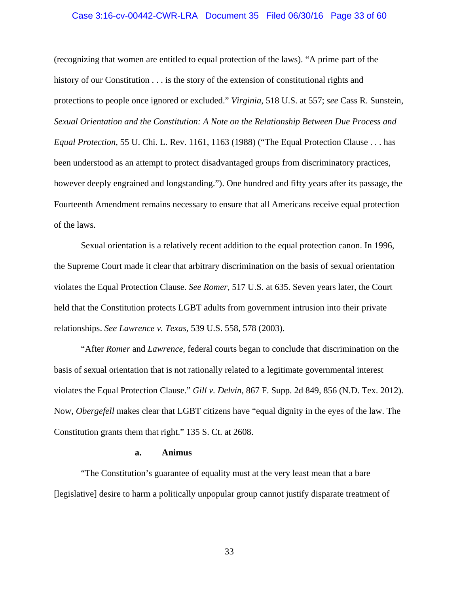## Case 3:16-cv-00442-CWR-LRA Document 35 Filed 06/30/16 Page 33 of 60

(recognizing that women are entitled to equal protection of the laws). "A prime part of the history of our Constitution . . . is the story of the extension of constitutional rights and protections to people once ignored or excluded." *Virginia*, 518 U.S. at 557; *see* Cass R. Sunstein, *Sexual Orientation and the Constitution: A Note on the Relationship Between Due Process and Equal Protection*, 55 U. Chi. L. Rev. 1161, 1163 (1988) ("The Equal Protection Clause . . . has been understood as an attempt to protect disadvantaged groups from discriminatory practices, however deeply engrained and longstanding."). One hundred and fifty years after its passage, the Fourteenth Amendment remains necessary to ensure that all Americans receive equal protection of the laws.

 Sexual orientation is a relatively recent addition to the equal protection canon. In 1996, the Supreme Court made it clear that arbitrary discrimination on the basis of sexual orientation violates the Equal Protection Clause. *See Romer*, 517 U.S. at 635. Seven years later, the Court held that the Constitution protects LGBT adults from government intrusion into their private relationships. *See Lawrence v. Texas*, 539 U.S. 558, 578 (2003).

"After *Romer* and *Lawrence*, federal courts began to conclude that discrimination on the basis of sexual orientation that is not rationally related to a legitimate governmental interest violates the Equal Protection Clause." *Gill v. Delvin*, 867 F. Supp. 2d 849, 856 (N.D. Tex. 2012). Now, *Obergefell* makes clear that LGBT citizens have "equal dignity in the eyes of the law. The Constitution grants them that right." 135 S. Ct. at 2608.

## **a. Animus**

 "The Constitution's guarantee of equality must at the very least mean that a bare [legislative] desire to harm a politically unpopular group cannot justify disparate treatment of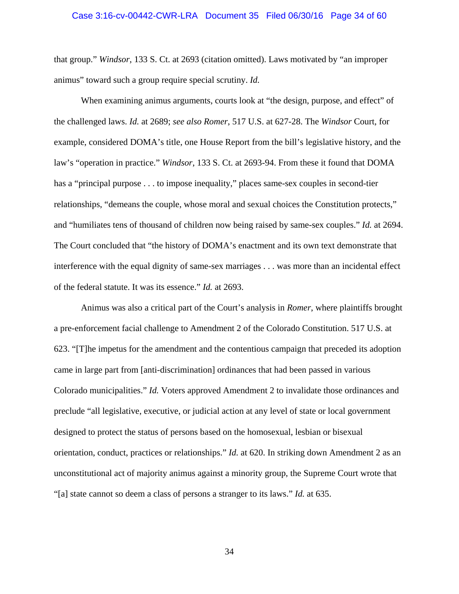## Case 3:16-cv-00442-CWR-LRA Document 35 Filed 06/30/16 Page 34 of 60

that group." *Windsor*, 133 S. Ct. at 2693 (citation omitted). Laws motivated by "an improper animus" toward such a group require special scrutiny. *Id.* 

When examining animus arguments, courts look at "the design, purpose, and effect" of the challenged laws. *Id.* at 2689; *see also Romer*, 517 U.S. at 627-28. The *Windsor* Court, for example, considered DOMA's title, one House Report from the bill's legislative history, and the law's "operation in practice." *Windsor*, 133 S. Ct. at 2693-94. From these it found that DOMA has a "principal purpose . . . to impose inequality," places same-sex couples in second-tier relationships, "demeans the couple, whose moral and sexual choices the Constitution protects," and "humiliates tens of thousand of children now being raised by same-sex couples." *Id.* at 2694. The Court concluded that "the history of DOMA's enactment and its own text demonstrate that interference with the equal dignity of same-sex marriages . . . was more than an incidental effect of the federal statute. It was its essence." *Id.* at 2693.

Animus was also a critical part of the Court's analysis in *Romer*, where plaintiffs brought a pre-enforcement facial challenge to Amendment 2 of the Colorado Constitution. 517 U.S. at 623. "[T]he impetus for the amendment and the contentious campaign that preceded its adoption came in large part from [anti-discrimination] ordinances that had been passed in various Colorado municipalities." *Id.* Voters approved Amendment 2 to invalidate those ordinances and preclude "all legislative, executive, or judicial action at any level of state or local government designed to protect the status of persons based on the homosexual, lesbian or bisexual orientation, conduct, practices or relationships." *Id.* at 620. In striking down Amendment 2 as an unconstitutional act of majority animus against a minority group, the Supreme Court wrote that "[a] state cannot so deem a class of persons a stranger to its laws." *Id.* at 635.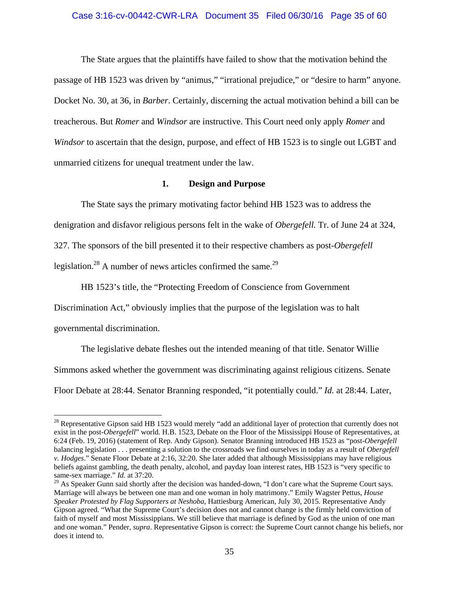# Case 3:16-cv-00442-CWR-LRA Document 35 Filed 06/30/16 Page 35 of 60

The State argues that the plaintiffs have failed to show that the motivation behind the passage of HB 1523 was driven by "animus," "irrational prejudice," or "desire to harm" anyone. Docket No. 30, at 36, in *Barber*. Certainly, discerning the actual motivation behind a bill can be treacherous. But *Romer* and *Windsor* are instructive. This Court need only apply *Romer* and *Windsor* to ascertain that the design, purpose, and effect of HB 1523 is to single out LGBT and unmarried citizens for unequal treatment under the law.

## **1. Design and Purpose**

The State says the primary motivating factor behind HB 1523 was to address the denigration and disfavor religious persons felt in the wake of *Obergefell.* Tr. of June 24 at 324, 327. The sponsors of the bill presented it to their respective chambers as post-*Obergefell* legislation.<sup>28</sup> A number of news articles confirmed the same.<sup>29</sup>

HB 1523's title, the "Protecting Freedom of Conscience from Government

Discrimination Act," obviously implies that the purpose of the legislation was to halt

governmental discrimination.

 $\overline{a}$ 

The legislative debate fleshes out the intended meaning of that title. Senator Willie Simmons asked whether the government was discriminating against religious citizens. Senate Floor Debate at 28:44. Senator Branning responded, "it potentially could." *Id.* at 28:44. Later,

<sup>&</sup>lt;sup>28</sup> Representative Gipson said HB 1523 would merely "add an additional layer of protection that currently does not exist in the post-*Obergefell*" world. H.B. 1523, Debate on the Floor of the Mississippi House of Representatives, at 6:24 (Feb. 19, 2016) (statement of Rep. Andy Gipson). Senator Branning introduced HB 1523 as "post-*Obergefell* balancing legislation . . . presenting a solution to the crossroads we find ourselves in today as a result of *Obergefell v. Hodges*." Senate Floor Debate at 2:16, 32:20. She later added that although Mississippians may have religious beliefs against gambling, the death penalty, alcohol, and payday loan interest rates, HB 1523 is "very specific to same-sex marriage." *Id.* at 37:20.

 $^{29}$  As Speaker Gunn said shortly after the decision was handed-down, "I don't care what the Supreme Court says. Marriage will always be between one man and one woman in holy matrimony." Emily Wagster Pettus, *House Speaker Protested by Flag Supporters at Neshoba*, Hattiesburg American, July 30, 2015. Representative Andy Gipson agreed. "What the Supreme Court's decision does not and cannot change is the firmly held conviction of faith of myself and most Mississippians. We still believe that marriage is defined by God as the union of one man and one woman." Pender, *supra*. Representative Gipson is correct: the Supreme Court cannot change his beliefs, nor does it intend to.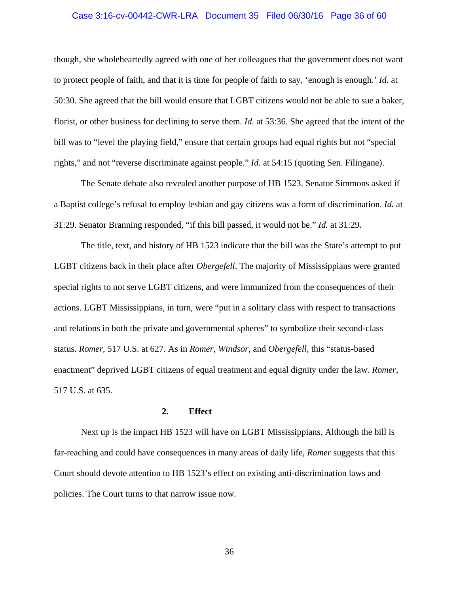# Case 3:16-cv-00442-CWR-LRA Document 35 Filed 06/30/16 Page 36 of 60

though, she wholeheartedly agreed with one of her colleagues that the government does not want to protect people of faith, and that it is time for people of faith to say, 'enough is enough.' *Id.* at 50:30. She agreed that the bill would ensure that LGBT citizens would not be able to sue a baker, florist, or other business for declining to serve them. *Id.* at 53:36. She agreed that the intent of the bill was to "level the playing field," ensure that certain groups had equal rights but not "special rights," and not "reverse discriminate against people." *Id.* at 54:15 (quoting Sen. Filingane).

The Senate debate also revealed another purpose of HB 1523. Senator Simmons asked if a Baptist college's refusal to employ lesbian and gay citizens was a form of discrimination. *Id.* at 31:29. Senator Branning responded, "if this bill passed, it would not be." *Id.* at 31:29.

The title, text, and history of HB 1523 indicate that the bill was the State's attempt to put LGBT citizens back in their place after *Obergefell*. The majority of Mississippians were granted special rights to not serve LGBT citizens, and were immunized from the consequences of their actions. LGBT Mississippians, in turn, were "put in a solitary class with respect to transactions and relations in both the private and governmental spheres" to symbolize their second-class status. *Romer*, 517 U.S. at 627. As in *Romer*, *Windsor*, and *Obergefell*, this "status-based enactment" deprived LGBT citizens of equal treatment and equal dignity under the law. *Romer*, 517 U.S. at 635.

## **2. Effect**

 Next up is the impact HB 1523 will have on LGBT Mississippians. Although the bill is far-reaching and could have consequences in many areas of daily life, *Romer* suggests that this Court should devote attention to HB 1523's effect on existing anti-discrimination laws and policies. The Court turns to that narrow issue now.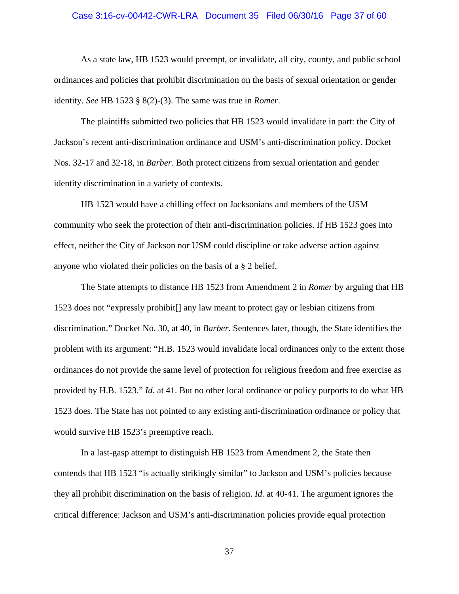## Case 3:16-cv-00442-CWR-LRA Document 35 Filed 06/30/16 Page 37 of 60

 As a state law, HB 1523 would preempt, or invalidate, all city, county, and public school ordinances and policies that prohibit discrimination on the basis of sexual orientation or gender identity. *See* HB 1523 § 8(2)-(3). The same was true in *Romer*.

The plaintiffs submitted two policies that HB 1523 would invalidate in part: the City of Jackson's recent anti-discrimination ordinance and USM's anti-discrimination policy. Docket Nos. 32-17 and 32-18, in *Barber*. Both protect citizens from sexual orientation and gender identity discrimination in a variety of contexts.

HB 1523 would have a chilling effect on Jacksonians and members of the USM community who seek the protection of their anti-discrimination policies. If HB 1523 goes into effect, neither the City of Jackson nor USM could discipline or take adverse action against anyone who violated their policies on the basis of a § 2 belief.

The State attempts to distance HB 1523 from Amendment 2 in *Romer* by arguing that HB 1523 does not "expressly prohibit[] any law meant to protect gay or lesbian citizens from discrimination." Docket No. 30, at 40, in *Barber*. Sentences later, though, the State identifies the problem with its argument: "H.B. 1523 would invalidate local ordinances only to the extent those ordinances do not provide the same level of protection for religious freedom and free exercise as provided by H.B. 1523." *Id.* at 41. But no other local ordinance or policy purports to do what HB 1523 does. The State has not pointed to any existing anti-discrimination ordinance or policy that would survive HB 1523's preemptive reach.

 In a last-gasp attempt to distinguish HB 1523 from Amendment 2, the State then contends that HB 1523 "is actually strikingly similar" to Jackson and USM's policies because they all prohibit discrimination on the basis of religion. *Id.* at 40-41. The argument ignores the critical difference: Jackson and USM's anti-discrimination policies provide equal protection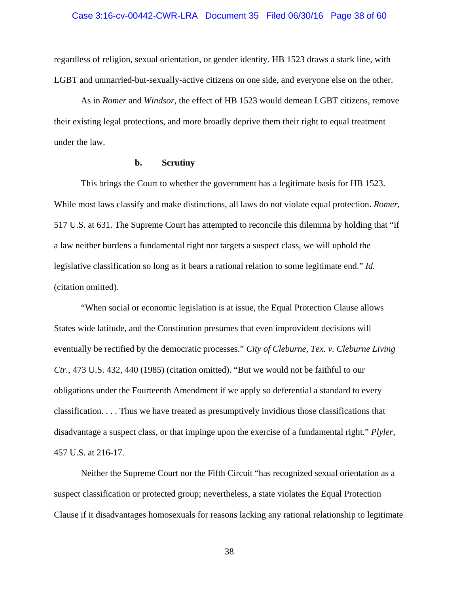regardless of religion, sexual orientation, or gender identity. HB 1523 draws a stark line, with LGBT and unmarried-but-sexually-active citizens on one side, and everyone else on the other.

 As in *Romer* and *Windsor,* the effect of HB 1523 would demean LGBT citizens, remove their existing legal protections, and more broadly deprive them their right to equal treatment under the law.

## **b. Scrutiny**

 This brings the Court to whether the government has a legitimate basis for HB 1523. While most laws classify and make distinctions, all laws do not violate equal protection. *Romer*, 517 U.S. at 631. The Supreme Court has attempted to reconcile this dilemma by holding that "if a law neither burdens a fundamental right nor targets a suspect class, we will uphold the legislative classification so long as it bears a rational relation to some legitimate end." *Id.*  (citation omitted).

 "When social or economic legislation is at issue, the Equal Protection Clause allows States wide latitude, and the Constitution presumes that even improvident decisions will eventually be rectified by the democratic processes." *City of Cleburne, Tex. v. Cleburne Living Ctr.*, 473 U.S. 432, 440 (1985) (citation omitted). "But we would not be faithful to our obligations under the Fourteenth Amendment if we apply so deferential a standard to every classification. . . . Thus we have treated as presumptively invidious those classifications that disadvantage a suspect class, or that impinge upon the exercise of a fundamental right." *Plyler*, 457 U.S. at 216-17.

Neither the Supreme Court nor the Fifth Circuit "has recognized sexual orientation as a suspect classification or protected group; nevertheless, a state violates the Equal Protection Clause if it disadvantages homosexuals for reasons lacking any rational relationship to legitimate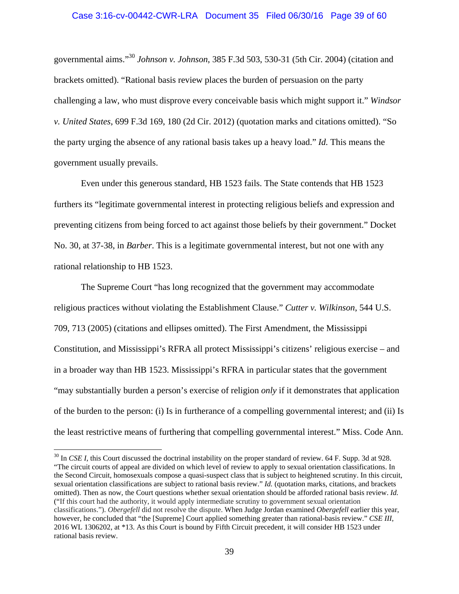### Case 3:16-cv-00442-CWR-LRA Document 35 Filed 06/30/16 Page 39 of 60

governmental aims."<sup>30</sup> *Johnson v. Johnson*, 385 F.3d 503, 530-31 (5th Cir. 2004) (citation and brackets omitted). "Rational basis review places the burden of persuasion on the party challenging a law, who must disprove every conceivable basis which might support it." *Windsor v. United States*, 699 F.3d 169, 180 (2d Cir. 2012) (quotation marks and citations omitted). "So the party urging the absence of any rational basis takes up a heavy load." *Id.* This means the government usually prevails.

Even under this generous standard, HB 1523 fails. The State contends that HB 1523 furthers its "legitimate governmental interest in protecting religious beliefs and expression and preventing citizens from being forced to act against those beliefs by their government." Docket No. 30, at 37-38, in *Barber*. This is a legitimate governmental interest, but not one with any rational relationship to HB 1523.

 The Supreme Court "has long recognized that the government may accommodate religious practices without violating the Establishment Clause." *Cutter v. Wilkinson*, 544 U.S. 709, 713 (2005) (citations and ellipses omitted). The First Amendment, the Mississippi Constitution, and Mississippi's RFRA all protect Mississippi's citizens' religious exercise – and in a broader way than HB 1523. Mississippi's RFRA in particular states that the government "may substantially burden a person's exercise of religion *only* if it demonstrates that application of the burden to the person: (i) Is in furtherance of a compelling governmental interest; and (ii) Is the least restrictive means of furthering that compelling governmental interest." Miss. Code Ann.

<sup>&</sup>lt;sup>30</sup> In *CSE I*, this Court discussed the doctrinal instability on the proper standard of review. 64 F. Supp. 3d at 928. "The circuit courts of appeal are divided on which level of review to apply to sexual orientation classifications. In the Second Circuit, homosexuals compose a quasi-suspect class that is subject to heightened scrutiny. In this circuit, sexual orientation classifications are subject to rational basis review." *Id.* (quotation marks, citations, and brackets omitted). Then as now, the Court questions whether sexual orientation should be afforded rational basis review. *Id.*  ("If this court had the authority, it would apply intermediate scrutiny to government sexual orientation classifications."). *Obergefell* did not resolve the dispute. When Judge Jordan examined *Obergefell* earlier this year, however, he concluded that "the [Supreme] Court applied something greater than rational-basis review." *CSE III*, 2016 WL 1306202, at \*13. As this Court is bound by Fifth Circuit precedent, it will consider HB 1523 under rational basis review.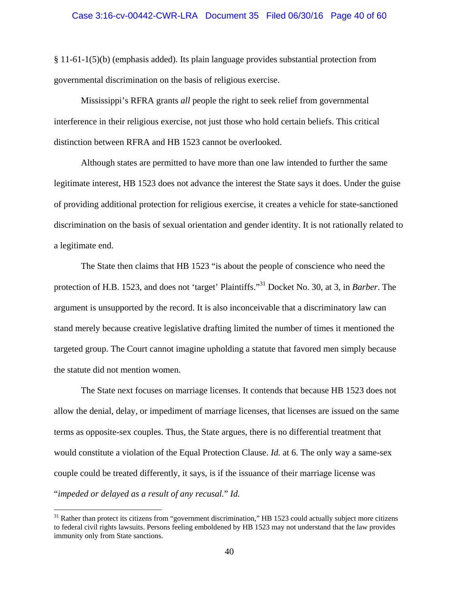# Case 3:16-cv-00442-CWR-LRA Document 35 Filed 06/30/16 Page 40 of 60

§ 11-61-1(5)(b) (emphasis added). Its plain language provides substantial protection from governmental discrimination on the basis of religious exercise.

 Mississippi's RFRA grants *all* people the right to seek relief from governmental interference in their religious exercise, not just those who hold certain beliefs. This critical distinction between RFRA and HB 1523 cannot be overlooked.

 Although states are permitted to have more than one law intended to further the same legitimate interest, HB 1523 does not advance the interest the State says it does. Under the guise of providing additional protection for religious exercise, it creates a vehicle for state-sanctioned discrimination on the basis of sexual orientation and gender identity. It is not rationally related to a legitimate end.

 The State then claims that HB 1523 "is about the people of conscience who need the protection of H.B. 1523, and does not 'target' Plaintiffs."31 Docket No. 30, at 3, in *Barber*. The argument is unsupported by the record. It is also inconceivable that a discriminatory law can stand merely because creative legislative drafting limited the number of times it mentioned the targeted group. The Court cannot imagine upholding a statute that favored men simply because the statute did not mention women.

 The State next focuses on marriage licenses. It contends that because HB 1523 does not allow the denial, delay, or impediment of marriage licenses, that licenses are issued on the same terms as opposite-sex couples. Thus, the State argues, there is no differential treatment that would constitute a violation of the Equal Protection Clause. *Id.* at 6. The only way a same-sex couple could be treated differently, it says, is if the issuance of their marriage license was "*impeded or delayed as a result of any recusal.*" *Id.*

 $31$  Rather than protect its citizens from "government discrimination," HB 1523 could actually subject more citizens to federal civil rights lawsuits. Persons feeling emboldened by HB 1523 may not understand that the law provides immunity only from State sanctions.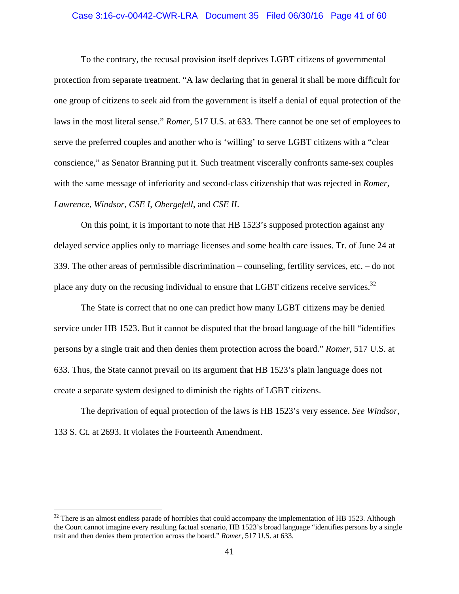# Case 3:16-cv-00442-CWR-LRA Document 35 Filed 06/30/16 Page 41 of 60

 To the contrary, the recusal provision itself deprives LGBT citizens of governmental protection from separate treatment. "A law declaring that in general it shall be more difficult for one group of citizens to seek aid from the government is itself a denial of equal protection of the laws in the most literal sense." *Romer*, 517 U.S. at 633. There cannot be one set of employees to serve the preferred couples and another who is 'willing' to serve LGBT citizens with a "clear conscience," as Senator Branning put it. Such treatment viscerally confronts same-sex couples with the same message of inferiority and second-class citizenship that was rejected in *Romer*, *Lawrence*, *Windsor*, *CSE I*, *Obergefell*, and *CSE II*.

 On this point, it is important to note that HB 1523's supposed protection against any delayed service applies only to marriage licenses and some health care issues. Tr. of June 24 at 339. The other areas of permissible discrimination – counseling, fertility services, etc. – do not place any duty on the recusing individual to ensure that LGBT citizens receive services.<sup>32</sup>

 The State is correct that no one can predict how many LGBT citizens may be denied service under HB 1523. But it cannot be disputed that the broad language of the bill "identifies persons by a single trait and then denies them protection across the board." *Romer,* 517 U.S. at 633. Thus, the State cannot prevail on its argument that HB 1523's plain language does not create a separate system designed to diminish the rights of LGBT citizens.

 The deprivation of equal protection of the laws is HB 1523's very essence. *See Windsor*, 133 S. Ct. at 2693. It violates the Fourteenth Amendment.

 $32$  There is an almost endless parade of horribles that could accompany the implementation of HB 1523. Although the Court cannot imagine every resulting factual scenario, HB 1523's broad language "identifies persons by a single trait and then denies them protection across the board." *Romer,* 517 U.S. at 633.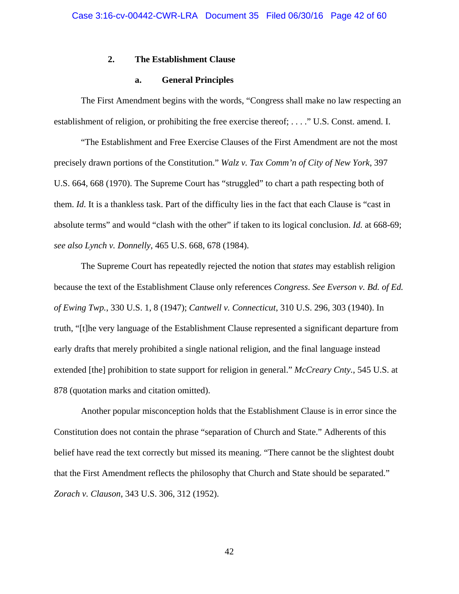## **2. The Establishment Clause**

## **a. General Principles**

 The First Amendment begins with the words, "Congress shall make no law respecting an establishment of religion, or prohibiting the free exercise thereof; . . . ." U.S. Const. amend. I.

 "The Establishment and Free Exercise Clauses of the First Amendment are not the most precisely drawn portions of the Constitution." *Walz v. Tax Comm'n of City of New York*, 397 U.S. 664, 668 (1970). The Supreme Court has "struggled" to chart a path respecting both of them. *Id.* It is a thankless task. Part of the difficulty lies in the fact that each Clause is "cast in absolute terms" and would "clash with the other" if taken to its logical conclusion. *Id.* at 668-69; *see also Lynch v. Donnelly*, 465 U.S. 668, 678 (1984).

 The Supreme Court has repeatedly rejected the notion that *states* may establish religion because the text of the Establishment Clause only references *Congress*. *See Everson v. Bd. of Ed. of Ewing Twp.*, 330 U.S. 1, 8 (1947); *Cantwell v. Connecticut*, 310 U.S. 296, 303 (1940). In truth, "[t]he very language of the Establishment Clause represented a significant departure from early drafts that merely prohibited a single national religion, and the final language instead extended [the] prohibition to state support for religion in general." *McCreary Cnty.*, 545 U.S. at 878 (quotation marks and citation omitted).

 Another popular misconception holds that the Establishment Clause is in error since the Constitution does not contain the phrase "separation of Church and State." Adherents of this belief have read the text correctly but missed its meaning. "There cannot be the slightest doubt that the First Amendment reflects the philosophy that Church and State should be separated." *Zorach v. Clauson*, 343 U.S. 306, 312 (1952).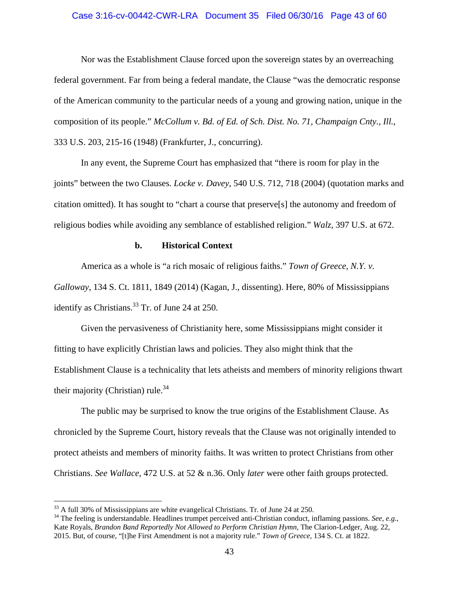## Case 3:16-cv-00442-CWR-LRA Document 35 Filed 06/30/16 Page 43 of 60

 Nor was the Establishment Clause forced upon the sovereign states by an overreaching federal government. Far from being a federal mandate, the Clause "was the democratic response of the American community to the particular needs of a young and growing nation, unique in the composition of its people." *McCollum v. Bd. of Ed. of Sch. Dist. No. 71, Champaign Cnty., Ill.*, 333 U.S. 203, 215-16 (1948) (Frankfurter, J., concurring).

 In any event, the Supreme Court has emphasized that "there is room for play in the joints" between the two Clauses. *Locke v. Davey*, 540 U.S. 712, 718 (2004) (quotation marks and citation omitted). It has sought to "chart a course that preserve[s] the autonomy and freedom of religious bodies while avoiding any semblance of established religion." *Walz*, 397 U.S. at 672.

## **b. Historical Context**

 America as a whole is "a rich mosaic of religious faiths." *Town of Greece, N.Y. v. Galloway*, 134 S. Ct. 1811, 1849 (2014) (Kagan, J., dissenting). Here, 80% of Mississippians identify as Christians. $^{33}$  Tr. of June 24 at 250.

 Given the pervasiveness of Christianity here, some Mississippians might consider it fitting to have explicitly Christian laws and policies. They also might think that the Establishment Clause is a technicality that lets atheists and members of minority religions thwart their majority (Christian) rule.<sup>34</sup>

 The public may be surprised to know the true origins of the Establishment Clause. As chronicled by the Supreme Court, history reveals that the Clause was not originally intended to protect atheists and members of minority faiths. It was written to protect Christians from other Christians. *See Wallace*, 472 U.S. at 52 & n.36. Only *later* were other faith groups protected.

 $33$  A full 30% of Mississippians are white evangelical Christians. Tr. of June 24 at 250.

<sup>&</sup>lt;sup>34</sup> The feeling is understandable. Headlines trumpet perceived anti-Christian conduct, inflaming passions. *See, e.g.*, Kate Royals, *Brandon Band Reportedly Not Allowed to Perform Christian Hymn*, The Clarion-Ledger, Aug. 22, 2015. But, of course, "[t]he First Amendment is not a majority rule." *Town of Greece*, 134 S. Ct. at 1822.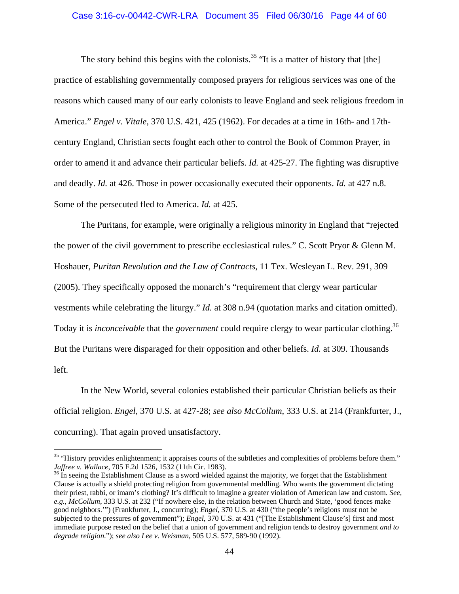### Case 3:16-cv-00442-CWR-LRA Document 35 Filed 06/30/16 Page 44 of 60

The story behind this begins with the colonists.<sup>35</sup> "It is a matter of history that [the] practice of establishing governmentally composed prayers for religious services was one of the reasons which caused many of our early colonists to leave England and seek religious freedom in America." *Engel v. Vitale*, 370 U.S. 421, 425 (1962). For decades at a time in 16th- and 17thcentury England, Christian sects fought each other to control the Book of Common Prayer, in order to amend it and advance their particular beliefs. *Id.* at 425-27. The fighting was disruptive and deadly. *Id.* at 426. Those in power occasionally executed their opponents. *Id.* at 427 n.8. Some of the persecuted fled to America. *Id.* at 425.

 The Puritans, for example, were originally a religious minority in England that "rejected the power of the civil government to prescribe ecclesiastical rules." C. Scott Pryor & Glenn M. Hoshauer, *Puritan Revolution and the Law of Contracts*, 11 Tex. Wesleyan L. Rev. 291, 309 (2005). They specifically opposed the monarch's "requirement that clergy wear particular vestments while celebrating the liturgy." *Id.* at 308 n.94 (quotation marks and citation omitted). Today it is *inconceivable* that the *government* could require clergy to wear particular clothing.<sup>36</sup> But the Puritans were disparaged for their opposition and other beliefs. *Id.* at 309. Thousands left.

 In the New World, several colonies established their particular Christian beliefs as their official religion. *Engel*, 370 U.S. at 427-28; *see also McCollum*, 333 U.S. at 214 (Frankfurter, J., concurring). That again proved unsatisfactory.

<sup>&</sup>lt;sup>35</sup> "History provides enlightenment; it appraises courts of the subtleties and complexities of problems before them." *Jaffree v. Wallace,* 705 F.2d 1526, 1532 (11th Cir. 1983).

<sup>&</sup>lt;sup>36</sup> In seeing the Establishment Clause as a sword wielded against the majority, we forget that the Establishment Clause is actually a shield protecting religion from governmental meddling. Who wants the government dictating their priest, rabbi, or imam's clothing? It's difficult to imagine a greater violation of American law and custom. *See, e.g.*, *McCollum*, 333 U.S. at 232 ("If nowhere else, in the relation between Church and State, 'good fences make good neighbors.'") (Frankfurter, J., concurring); *Engel*, 370 U.S. at 430 ("the people's religions must not be subjected to the pressures of government"); *Engel*, 370 U.S. at 431 ("[The Establishment Clause's] first and most immediate purpose rested on the belief that a union of government and religion tends to destroy government *and to degrade religion*."); *see also Lee v. Weisman*, 505 U.S. 577, 589-90 (1992).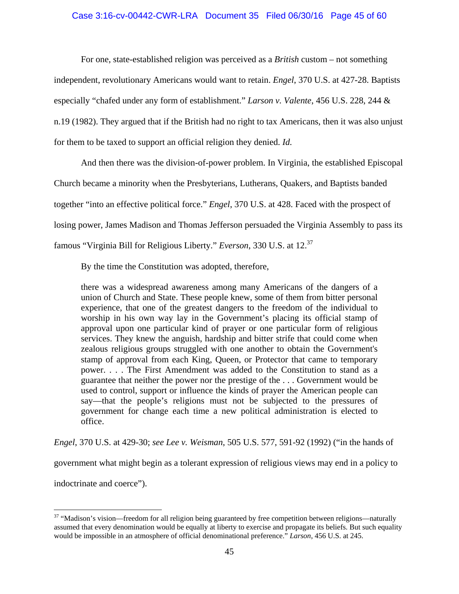## Case 3:16-cv-00442-CWR-LRA Document 35 Filed 06/30/16 Page 45 of 60

 For one, state-established religion was perceived as a *British* custom – not something independent, revolutionary Americans would want to retain. *Engel*, 370 U.S. at 427-28. Baptists especially "chafed under any form of establishment." *Larson v. Valente*, 456 U.S. 228, 244 & n.19 (1982). They argued that if the British had no right to tax Americans, then it was also unjust for them to be taxed to support an official religion they denied. *Id.*

And then there was the division-of-power problem. In Virginia, the established Episcopal

Church became a minority when the Presbyterians, Lutherans, Quakers, and Baptists banded

together "into an effective political force." *Engel*, 370 U.S. at 428. Faced with the prospect of

losing power, James Madison and Thomas Jefferson persuaded the Virginia Assembly to pass its

famous "Virginia Bill for Religious Liberty." *Everson*, 330 U.S. at 12.37

By the time the Constitution was adopted, therefore,

there was a widespread awareness among many Americans of the dangers of a union of Church and State. These people knew, some of them from bitter personal experience, that one of the greatest dangers to the freedom of the individual to worship in his own way lay in the Government's placing its official stamp of approval upon one particular kind of prayer or one particular form of religious services. They knew the anguish, hardship and bitter strife that could come when zealous religious groups struggled with one another to obtain the Government's stamp of approval from each King, Queen, or Protector that came to temporary power. . . . The First Amendment was added to the Constitution to stand as a guarantee that neither the power nor the prestige of the . . . Government would be used to control, support or influence the kinds of prayer the American people can say—that the people's religions must not be subjected to the pressures of government for change each time a new political administration is elected to office.

*Engel*, 370 U.S. at 429-30; *see Lee v. Weisman*, 505 U.S. 577, 591-92 (1992) ("in the hands of

government what might begin as a tolerant expression of religious views may end in a policy to

indoctrinate and coerce").

<sup>&</sup>lt;sup>37</sup> "Madison's vision—freedom for all religion being guaranteed by free competition between religions—naturally assumed that every denomination would be equally at liberty to exercise and propagate its beliefs. But such equality would be impossible in an atmosphere of official denominational preference." *Larson*, 456 U.S. at 245.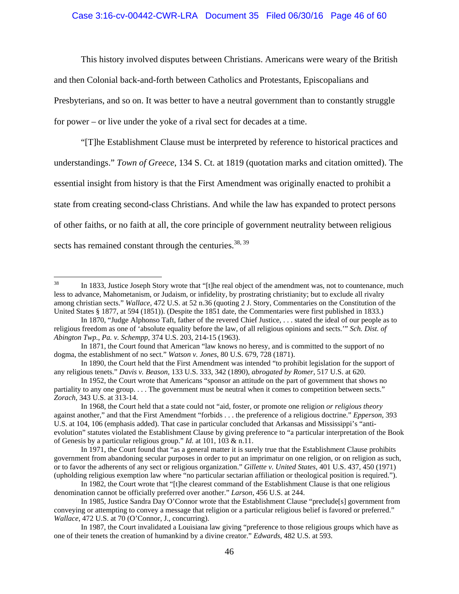# Case 3:16-cv-00442-CWR-LRA Document 35 Filed 06/30/16 Page 46 of 60

 This history involved disputes between Christians. Americans were weary of the British and then Colonial back-and-forth between Catholics and Protestants, Episcopalians and Presbyterians, and so on. It was better to have a neutral government than to constantly struggle for power – or live under the yoke of a rival sect for decades at a time.

"[T]he Establishment Clause must be interpreted by reference to historical practices and understandings." *Town of Greece*, 134 S. Ct. at 1819 (quotation marks and citation omitted). The essential insight from history is that the First Amendment was originally enacted to prohibit a state from creating second-class Christians. And while the law has expanded to protect persons of other faiths, or no faith at all, the core principle of government neutrality between religious sects has remained constant through the centuries. $38,39$ 

<sup>38</sup> In 1833, Justice Joseph Story wrote that "[t]he real object of the amendment was, not to countenance, much less to advance, Mahometanism, or Judaism, or infidelity, by prostrating christianity; but to exclude all rivalry among christian sects." *Wallace*, 472 U.S. at 52 n.36 (quoting 2 J. Story, Commentaries on the Constitution of the United States § 1877, at 594 (1851)). (Despite the 1851 date, the Commentaries were first published in 1833.)

In 1870, "Judge Alphonso Taft, father of the revered Chief Justice, . . . stated the ideal of our people as to religious freedom as one of 'absolute equality before the law, of all religious opinions and sects.'" *Sch. Dist. of Abington Twp., Pa. v. Schempp*, 374 U.S. 203, 214-15 (1963).

In 1871, the Court found that American "law knows no heresy, and is committed to the support of no dogma, the establishment of no sect." *Watson v. Jones*, 80 U.S. 679, 728 (1871).

In 1890, the Court held that the First Amendment was intended "to prohibit legislation for the support of any religious tenets." *Davis v. Beason*, 133 U.S. 333, 342 (1890), *abrogated by Romer*, 517 U.S. at 620.

In 1952, the Court wrote that Americans "sponsor an attitude on the part of government that shows no partiality to any one group. . . . The government must be neutral when it comes to competition between sects." *Zorach*, 343 U.S. at 313-14.

In 1968, the Court held that a state could not "aid, foster, or promote one religion *or religious theory* against another," and that the First Amendment "forbids . . . the preference of a religious doctrine." *Epperson*, 393 U.S. at 104, 106 (emphasis added). That case in particular concluded that Arkansas and Mississippi's "antievolution" statutes violated the Establishment Clause by giving preference to "a particular interpretation of the Book of Genesis by a particular religious group." *Id.* at 101, 103 & n.11.

In 1971, the Court found that "as a general matter it is surely true that the Establishment Clause prohibits government from abandoning secular purposes in order to put an imprimatur on one religion, or on religion as such, or to favor the adherents of any sect or religious organization." *Gillette v. United States*, 401 U.S. 437, 450 (1971) (upholding religious exemption law where "no particular sectarian affiliation or theological position is required.").

In 1982, the Court wrote that "[t]he clearest command of the Establishment Clause is that one religious denomination cannot be officially preferred over another." *Larson*, 456 U.S. at 244.

In 1985, Justice Sandra Day O'Connor wrote that the Establishment Clause "preclude[s] government from conveying or attempting to convey a message that religion or a particular religious belief is favored or preferred." *Wallace*, 472 U.S. at 70 (O'Connor, J., concurring).

In 1987, the Court invalidated a Louisiana law giving "preference to those religious groups which have as one of their tenets the creation of humankind by a divine creator." *Edwards*, 482 U.S. at 593.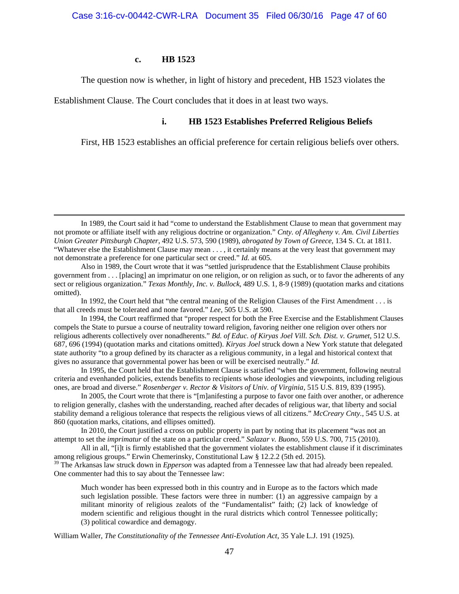#### **c. HB 1523**

The question now is whether, in light of history and precedent, HB 1523 violates the

Establishment Clause. The Court concludes that it does in at least two ways.

## **i. HB 1523 Establishes Preferred Religious Beliefs**

First, HB 1523 establishes an official preference for certain religious beliefs over others.

 In 1992, the Court held that "the central meaning of the Religion Clauses of the First Amendment . . . is that all creeds must be tolerated and none favored." *Lee*, 505 U.S. at 590.

 In 1994, the Court reaffirmed that "proper respect for both the Free Exercise and the Establishment Clauses compels the State to pursue a course of neutrality toward religion, favoring neither one religion over others nor religious adherents collectively over nonadherents." *Bd. of Educ. of Kiryas Joel Vill. Sch. Dist. v. Grumet*, 512 U.S. 687, 696 (1994) (quotation marks and citations omitted). *Kiryas Joel* struck down a New York statute that delegated state authority "to a group defined by its character as a religious community, in a legal and historical context that gives no assurance that governmental power has been or will be exercised neutrally." *Id.*

 In 1995, the Court held that the Establishment Clause is satisfied "when the government, following neutral criteria and evenhanded policies, extends benefits to recipients whose ideologies and viewpoints, including religious ones, are broad and diverse." *Rosenberger v. Rector & Visitors of Univ. of Virginia*, 515 U.S. 819, 839 (1995).

In 2005, the Court wrote that there is "[m]anifesting a purpose to favor one faith over another, or adherence to religion generally, clashes with the understanding, reached after decades of religious war, that liberty and social stability demand a religious tolerance that respects the religious views of all citizens." *McCreary Cnty.*, 545 U.S. at 860 (quotation marks, citations, and ellipses omitted).

In 2010, the Court justified a cross on public property in part by noting that its placement "was not an attempt to set the *imprimatur* of the state on a particular creed." *Salazar v. Buono*, 559 U.S. 700, 715 (2010).

All in all, "[i]t is firmly established that the government violates the establishment clause if it discriminates among religious groups." Erwin Chemerinsky, Constitutional Law § 12.2.2 (5th ed. 2015).

<sup>39</sup> The Arkansas law struck down in *Epperson* was adapted from a Tennessee law that had already been repealed. One commenter had this to say about the Tennessee law:

Much wonder has been expressed both in this country and in Europe as to the factors which made such legislation possible. These factors were three in number: (1) an aggressive campaign by a militant minority of religious zealots of the "Fundamentalist" faith; (2) lack of knowledge of modern scientific and religious thought in the rural districts which control Tennessee politically; (3) political cowardice and demagogy.

William Waller, *The Constitutionality of the Tennessee Anti-Evolution Act*, 35 Yale L.J. 191 (1925).

In 1989, the Court said it had "come to understand the Establishment Clause to mean that government may not promote or affiliate itself with any religious doctrine or organization." *Cnty. of Allegheny v. Am. Civil Liberties Union Greater Pittsburgh Chapter*, 492 U.S. 573, 590 (1989), *abrogated by Town of Greece*, 134 S. Ct. at 1811. "Whatever else the Establishment Clause may mean . . . , it certainly means at the very least that government may not demonstrate a preference for one particular sect or creed." *Id.* at 605.

Also in 1989, the Court wrote that it was "settled jurisprudence that the Establishment Clause prohibits government from . . . [placing] an imprimatur on one religion, or on religion as such, or to favor the adherents of any sect or religious organization." *Texas Monthly, Inc. v. Bullock*, 489 U.S. 1, 8-9 (1989) (quotation marks and citations omitted).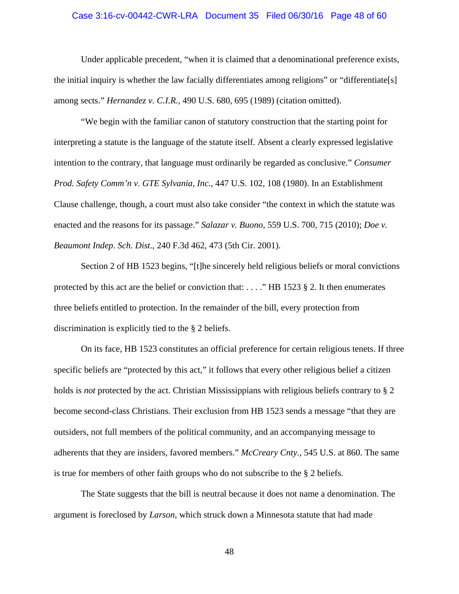## Case 3:16-cv-00442-CWR-LRA Document 35 Filed 06/30/16 Page 48 of 60

Under applicable precedent, "when it is claimed that a denominational preference exists, the initial inquiry is whether the law facially differentiates among religions" or "differentiate[s] among sects." *Hernandez v. C.I.R.*, 490 U.S. 680, 695 (1989) (citation omitted).

 "We begin with the familiar canon of statutory construction that the starting point for interpreting a statute is the language of the statute itself. Absent a clearly expressed legislative intention to the contrary, that language must ordinarily be regarded as conclusive." *Consumer Prod. Safety Comm'n v. GTE Sylvania, Inc.*, 447 U.S. 102, 108 (1980). In an Establishment Clause challenge, though, a court must also take consider "the context in which the statute was enacted and the reasons for its passage." *Salazar v. Buono*, 559 U.S. 700, 715 (2010); *Doe v. Beaumont Indep. Sch. Dist.*, 240 F.3d 462, 473 (5th Cir. 2001).

Section 2 of HB 1523 begins, "[t]he sincerely held religious beliefs or moral convictions protected by this act are the belief or conviction that: . . . ." HB 1523 § 2. It then enumerates three beliefs entitled to protection. In the remainder of the bill, every protection from discrimination is explicitly tied to the § 2 beliefs.

On its face, HB 1523 constitutes an official preference for certain religious tenets. If three specific beliefs are "protected by this act," it follows that every other religious belief a citizen holds is *not* protected by the act. Christian Mississippians with religious beliefs contrary to § 2 become second-class Christians. Their exclusion from HB 1523 sends a message "that they are outsiders, not full members of the political community, and an accompanying message to adherents that they are insiders, favored members." *McCreary Cnty.*, 545 U.S. at 860. The same is true for members of other faith groups who do not subscribe to the § 2 beliefs.

The State suggests that the bill is neutral because it does not name a denomination. The argument is foreclosed by *Larson*, which struck down a Minnesota statute that had made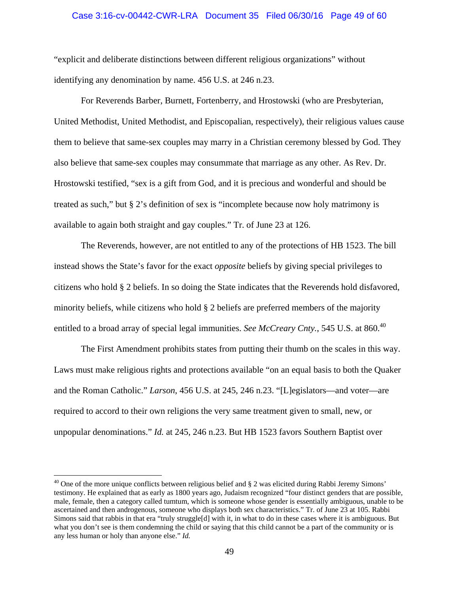#### Case 3:16-cv-00442-CWR-LRA Document 35 Filed 06/30/16 Page 49 of 60

"explicit and deliberate distinctions between different religious organizations" without identifying any denomination by name. 456 U.S. at 246 n.23.

For Reverends Barber, Burnett, Fortenberry, and Hrostowski (who are Presbyterian, United Methodist, United Methodist, and Episcopalian, respectively), their religious values cause them to believe that same-sex couples may marry in a Christian ceremony blessed by God. They also believe that same-sex couples may consummate that marriage as any other. As Rev. Dr. Hrostowski testified, "sex is a gift from God, and it is precious and wonderful and should be treated as such," but § 2's definition of sex is "incomplete because now holy matrimony is available to again both straight and gay couples." Tr. of June 23 at 126.

The Reverends, however, are not entitled to any of the protections of HB 1523. The bill instead shows the State's favor for the exact *opposite* beliefs by giving special privileges to citizens who hold § 2 beliefs. In so doing the State indicates that the Reverends hold disfavored, minority beliefs, while citizens who hold § 2 beliefs are preferred members of the majority entitled to a broad array of special legal immunities. *See McCreary Cnty.*, 545 U.S. at 860.<sup>40</sup>

The First Amendment prohibits states from putting their thumb on the scales in this way. Laws must make religious rights and protections available "on an equal basis to both the Quaker and the Roman Catholic." *Larson*, 456 U.S. at 245, 246 n.23. "[L]egislators—and voter—are required to accord to their own religions the very same treatment given to small, new, or unpopular denominations." *Id.* at 245, 246 n.23. But HB 1523 favors Southern Baptist over

 $40$  One of the more unique conflicts between religious belief and § 2 was elicited during Rabbi Jeremy Simons' testimony. He explained that as early as 1800 years ago, Judaism recognized "four distinct genders that are possible, male, female, then a category called tumtum, which is someone whose gender is essentially ambiguous, unable to be ascertained and then androgenous, someone who displays both sex characteristics." Tr. of June 23 at 105. Rabbi Simons said that rabbis in that era "truly struggle[d] with it, in what to do in these cases where it is ambiguous. But what you don't see is them condemning the child or saying that this child cannot be a part of the community or is any less human or holy than anyone else." *Id.*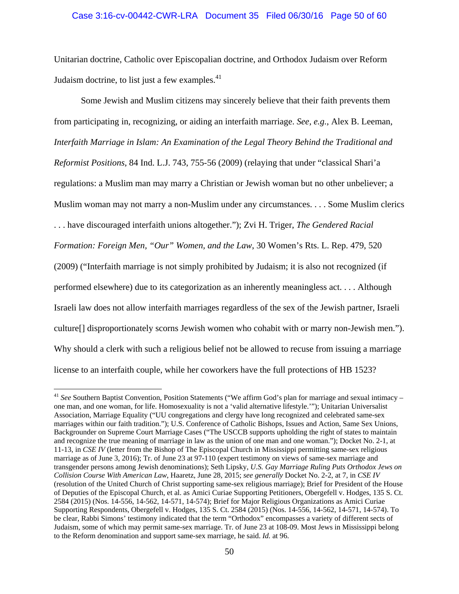## Case 3:16-cv-00442-CWR-LRA Document 35 Filed 06/30/16 Page 50 of 60

Unitarian doctrine, Catholic over Episcopalian doctrine, and Orthodox Judaism over Reform Judaism doctrine, to list just a few examples. $41$ 

Some Jewish and Muslim citizens may sincerely believe that their faith prevents them from participating in, recognizing, or aiding an interfaith marriage. *See, e.g.*, Alex B. Leeman, *Interfaith Marriage in Islam: An Examination of the Legal Theory Behind the Traditional and Reformist Positions*, 84 Ind. L.J. 743, 755-56 (2009) (relaying that under "classical Shari'a regulations: a Muslim man may marry a Christian or Jewish woman but no other unbeliever; a Muslim woman may not marry a non-Muslim under any circumstances. . . . Some Muslim clerics . . . have discouraged interfaith unions altogether."); Zvi H. Triger, *The Gendered Racial Formation: Foreign Men, "Our" Women, and the Law*, 30 Women's Rts. L. Rep. 479, 520 (2009) ("Interfaith marriage is not simply prohibited by Judaism; it is also not recognized (if performed elsewhere) due to its categorization as an inherently meaningless act. . . . Although Israeli law does not allow interfaith marriages regardless of the sex of the Jewish partner, Israeli culture[] disproportionately scorns Jewish women who cohabit with or marry non-Jewish men."). Why should a clerk with such a religious belief not be allowed to recuse from issuing a marriage license to an interfaith couple, while her coworkers have the full protections of HB 1523?

<sup>&</sup>lt;sup>41</sup> See Southern Baptist Convention, Position Statements ("We affirm God's plan for marriage and sexual intimacy – one man, and one woman, for life. Homosexuality is not a 'valid alternative lifestyle.'"); Unitarian Universalist Association, Marriage Equality ("UU congregations and clergy have long recognized and celebrated same-sex marriages within our faith tradition."); U.S. Conference of Catholic Bishops, Issues and Action, Same Sex Unions, Backgrounder on Supreme Court Marriage Cases ("The USCCB supports upholding the right of states to maintain and recognize the true meaning of marriage in law as the union of one man and one woman."); Docket No. 2-1, at 11-13, in *CSE IV* (letter from the Bishop of The Episcopal Church in Mississippi permitting same-sex religious marriage as of June 3, 2016); Tr. of June 23 at 97-110 (expert testimony on views of same-sex marriage and transgender persons among Jewish denominations); Seth Lipsky, *U.S. Gay Marriage Ruling Puts Orthodox Jews on Collision Course With American Law*, Haaretz, June 28, 2015; *see generally* Docket No. 2-2, at 7, in *CSE IV* (resolution of the United Church of Christ supporting same-sex religious marriage); Brief for President of the House of Deputies of the Episcopal Church, et al. as Amici Curiae Supporting Petitioners, Obergefell v. Hodges, 135 S. Ct. 2584 (2015) (Nos. 14-556, 14-562, 14-571, 14-574); Brief for Major Religious Organizations as Amici Curiae Supporting Respondents, Obergefell v. Hodges, 135 S. Ct. 2584 (2015) (Nos. 14-556, 14-562, 14-571, 14-574). To be clear, Rabbi Simons' testimony indicated that the term "Orthodox" encompasses a variety of different sects of Judaism, some of which may permit same-sex marriage. Tr. of June 23 at 108-09. Most Jews in Mississippi belong to the Reform denomination and support same-sex marriage, he said. *Id.* at 96.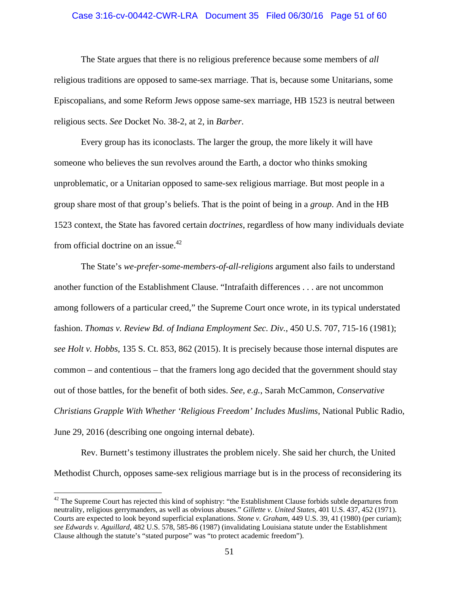## Case 3:16-cv-00442-CWR-LRA Document 35 Filed 06/30/16 Page 51 of 60

The State argues that there is no religious preference because some members of *all* religious traditions are opposed to same-sex marriage. That is, because some Unitarians, some Episcopalians, and some Reform Jews oppose same-sex marriage, HB 1523 is neutral between religious sects. *See* Docket No. 38-2, at 2, in *Barber*.

Every group has its iconoclasts. The larger the group, the more likely it will have someone who believes the sun revolves around the Earth, a doctor who thinks smoking unproblematic, or a Unitarian opposed to same-sex religious marriage. But most people in a group share most of that group's beliefs. That is the point of being in a *group*. And in the HB 1523 context, the State has favored certain *doctrines*, regardless of how many individuals deviate from official doctrine on an issue.<sup>42</sup>

The State's *we-prefer-some-members-of-all-religions* argument also fails to understand another function of the Establishment Clause. "Intrafaith differences . . . are not uncommon among followers of a particular creed," the Supreme Court once wrote, in its typical understated fashion. *Thomas v. Review Bd. of Indiana Employment Sec. Div.*, 450 U.S. 707, 715-16 (1981); *see Holt v. Hobbs*, 135 S. Ct. 853, 862 (2015). It is precisely because those internal disputes are common – and contentious – that the framers long ago decided that the government should stay out of those battles, for the benefit of both sides. *See, e.g.*, Sarah McCammon, *Conservative Christians Grapple With Whether 'Religious Freedom' Includes Muslims*, National Public Radio, June 29, 2016 (describing one ongoing internal debate).

Rev. Burnett's testimony illustrates the problem nicely. She said her church, the United Methodist Church, opposes same-sex religious marriage but is in the process of reconsidering its

 $42$  The Supreme Court has rejected this kind of sophistry: "the Establishment Clause forbids subtle departures from neutrality, religious gerrymanders, as well as obvious abuses." *Gillette v. United States*, 401 U.S. 437, 452 (1971). Courts are expected to look beyond superficial explanations. *Stone v. Graham*, 449 U.S. 39, 41 (1980) (per curiam); *see Edwards v. Aguillard*, 482 U.S. 578, 585-86 (1987) (invalidating Louisiana statute under the Establishment Clause although the statute's "stated purpose" was "to protect academic freedom").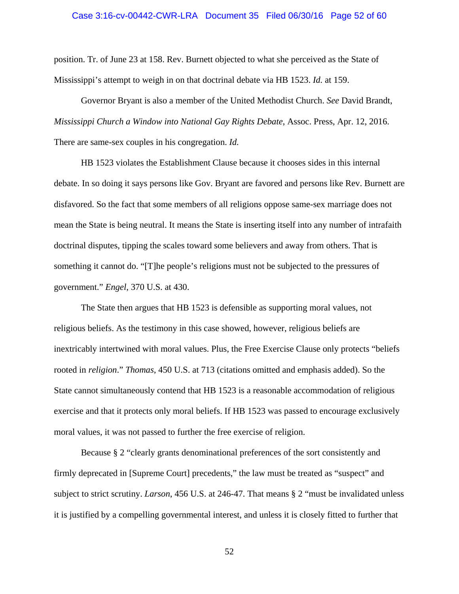# Case 3:16-cv-00442-CWR-LRA Document 35 Filed 06/30/16 Page 52 of 60

position. Tr. of June 23 at 158. Rev. Burnett objected to what she perceived as the State of Mississippi's attempt to weigh in on that doctrinal debate via HB 1523. *Id.* at 159.

Governor Bryant is also a member of the United Methodist Church. *See* David Brandt, *Mississippi Church a Window into National Gay Rights Debate*, Assoc. Press, Apr. 12, 2016. There are same-sex couples in his congregation. *Id.*

HB 1523 violates the Establishment Clause because it chooses sides in this internal debate. In so doing it says persons like Gov. Bryant are favored and persons like Rev. Burnett are disfavored. So the fact that some members of all religions oppose same-sex marriage does not mean the State is being neutral. It means the State is inserting itself into any number of intrafaith doctrinal disputes, tipping the scales toward some believers and away from others. That is something it cannot do. "[T]he people's religions must not be subjected to the pressures of government." *Engel*, 370 U.S. at 430.

The State then argues that HB 1523 is defensible as supporting moral values, not religious beliefs. As the testimony in this case showed, however, religious beliefs are inextricably intertwined with moral values. Plus, the Free Exercise Clause only protects "beliefs rooted in *religion*." *Thomas*, 450 U.S. at 713 (citations omitted and emphasis added). So the State cannot simultaneously contend that HB 1523 is a reasonable accommodation of religious exercise and that it protects only moral beliefs. If HB 1523 was passed to encourage exclusively moral values, it was not passed to further the free exercise of religion.

Because § 2 "clearly grants denominational preferences of the sort consistently and firmly deprecated in [Supreme Court] precedents," the law must be treated as "suspect" and subject to strict scrutiny. *Larson*, 456 U.S. at 246-47. That means § 2 "must be invalidated unless it is justified by a compelling governmental interest, and unless it is closely fitted to further that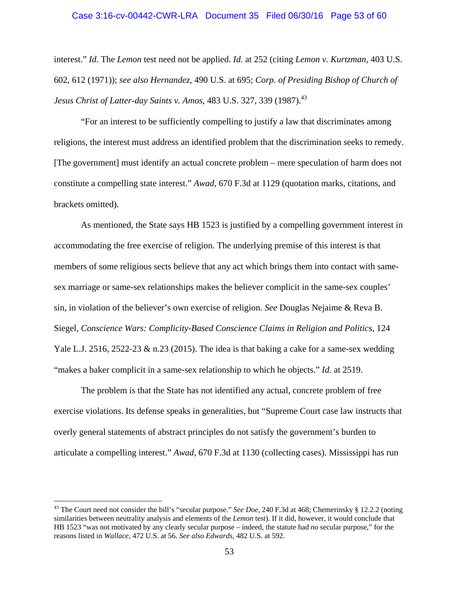#### Case 3:16-cv-00442-CWR-LRA Document 35 Filed 06/30/16 Page 53 of 60

interest." *Id.* The *Lemon* test need not be applied. *Id.* at 252 (citing *Lemon v. Kurtzman*, 403 U.S. 602, 612 (1971)); *see also Hernandez*, 490 U.S. at 695; *Corp. of Presiding Bishop of Church of Jesus Christ of Latter-day Saints v. Amos, 483 U.S. 327, 339 (1987).*<sup>43</sup>

"For an interest to be sufficiently compelling to justify a law that discriminates among religions, the interest must address an identified problem that the discrimination seeks to remedy. [The government] must identify an actual concrete problem – mere speculation of harm does not constitute a compelling state interest." *Awad*, 670 F.3d at 1129 (quotation marks, citations, and brackets omitted).

As mentioned, the State says HB 1523 is justified by a compelling government interest in accommodating the free exercise of religion. The underlying premise of this interest is that members of some religious sects believe that any act which brings them into contact with samesex marriage or same-sex relationships makes the believer complicit in the same-sex couples' sin, in violation of the believer's own exercise of religion. *See* Douglas Nejaime & Reva B. Siegel, *Conscience Wars: Complicity-Based Conscience Claims in Religion and Politics*, 124 Yale L.J. 2516, 2522-23  $\&$  n.23 (2015). The idea is that baking a cake for a same-sex wedding "makes a baker complicit in a same-sex relationship to which he objects." *Id.* at 2519.

The problem is that the State has not identified any actual, concrete problem of free exercise violations. Its defense speaks in generalities, but "Supreme Court case law instructs that overly general statements of abstract principles do not satisfy the government's burden to articulate a compelling interest." *Awad*, 670 F.3d at 1130 (collecting cases). Mississippi has run

<sup>43</sup> The Court need not consider the bill's "secular purpose." *See Doe*, 240 F.3d at 468; Chemerinsky § 12.2.2 (noting similarities between neutrality analysis and elements of the *Lemon* test). If it did, however, it would conclude that HB 1523 "was not motivated by any clearly secular purpose – indeed, the statute had *no* secular purpose," for the reasons listed in *Wallace*, 472 U.S. at 56. *See also Edwards*, 482 U.S. at 592.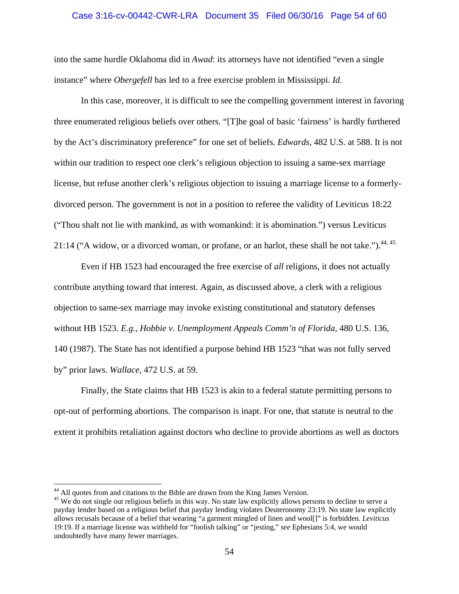## Case 3:16-cv-00442-CWR-LRA Document 35 Filed 06/30/16 Page 54 of 60

into the same hurdle Oklahoma did in *Awad*: its attorneys have not identified "even a single instance" where *Obergefell* has led to a free exercise problem in Mississippi. *Id.*

In this case, moreover, it is difficult to see the compelling government interest in favoring three enumerated religious beliefs over others. "[T]he goal of basic 'fairness' is hardly furthered by the Act's discriminatory preference" for one set of beliefs. *Edwards*, 482 U.S. at 588. It is not within our tradition to respect one clerk's religious objection to issuing a same-sex marriage license, but refuse another clerk's religious objection to issuing a marriage license to a formerlydivorced person. The government is not in a position to referee the validity of Leviticus 18:22 ("Thou shalt not lie with mankind, as with womankind: it is abomination.") versus Leviticus 21:14 ("A widow, or a divorced woman, or profane, or an harlot, these shall he not take.").  $44, 45$ 

Even if HB 1523 had encouraged the free exercise of *all* religions, it does not actually contribute anything toward that interest. Again, as discussed above, a clerk with a religious objection to same-sex marriage may invoke existing constitutional and statutory defenses without HB 1523. *E.g.*, *Hobbie v. Unemployment Appeals Comm'n of Florida*, 480 U.S. 136, 140 (1987). The State has not identified a purpose behind HB 1523 "that was not fully served by" prior laws. *Wallace*, 472 U.S. at 59.

Finally, the State claims that HB 1523 is akin to a federal statute permitting persons to opt-out of performing abortions. The comparison is inapt. For one, that statute is neutral to the extent it prohibits retaliation against doctors who decline to provide abortions as well as doctors

<sup>&</sup>lt;sup>44</sup> All quotes from and citations to the Bible are drawn from the King James Version.

<sup>&</sup>lt;sup>45</sup> We do not single out religious beliefs in this way. No state law explicitly allows persons to decline to serve a payday lender based on a religious belief that payday lending violates Deuteronomy 23:19. No state law explicitly allows recusals because of a belief that wearing "a garment mingled of linen and wool[]" is forbidden. *Leviticus* 19:19. If a marriage license was withheld for "foolish talking" or "jesting," *see* Ephesians 5:4, we would undoubtedly have many fewer marriages.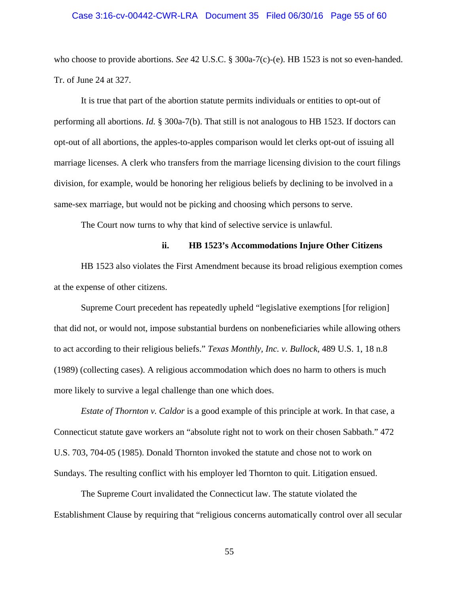# Case 3:16-cv-00442-CWR-LRA Document 35 Filed 06/30/16 Page 55 of 60

who choose to provide abortions. *See* 42 U.S.C. § 300a-7(c)-(e). HB 1523 is not so even-handed. Tr. of June 24 at 327.

It is true that part of the abortion statute permits individuals or entities to opt-out of performing all abortions. *Id.* § 300a-7(b). That still is not analogous to HB 1523. If doctors can opt-out of all abortions, the apples-to-apples comparison would let clerks opt-out of issuing all marriage licenses. A clerk who transfers from the marriage licensing division to the court filings division, for example, would be honoring her religious beliefs by declining to be involved in a same-sex marriage, but would not be picking and choosing which persons to serve.

The Court now turns to why that kind of selective service is unlawful.

## **ii. HB 1523's Accommodations Injure Other Citizens**

HB 1523 also violates the First Amendment because its broad religious exemption comes at the expense of other citizens.

Supreme Court precedent has repeatedly upheld "legislative exemptions [for religion] that did not, or would not, impose substantial burdens on nonbeneficiaries while allowing others to act according to their religious beliefs." *Texas Monthly, Inc. v. Bullock*, 489 U.S. 1, 18 n.8 (1989) (collecting cases). A religious accommodation which does no harm to others is much more likely to survive a legal challenge than one which does.

*Estate of Thornton v. Caldor* is a good example of this principle at work. In that case, a Connecticut statute gave workers an "absolute right not to work on their chosen Sabbath." 472 U.S. 703, 704-05 (1985). Donald Thornton invoked the statute and chose not to work on Sundays. The resulting conflict with his employer led Thornton to quit. Litigation ensued.

The Supreme Court invalidated the Connecticut law. The statute violated the Establishment Clause by requiring that "religious concerns automatically control over all secular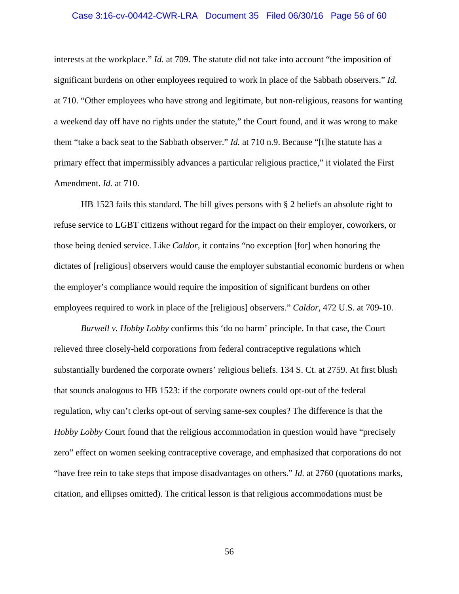## Case 3:16-cv-00442-CWR-LRA Document 35 Filed 06/30/16 Page 56 of 60

interests at the workplace." *Id.* at 709. The statute did not take into account "the imposition of significant burdens on other employees required to work in place of the Sabbath observers." *Id.* at 710. "Other employees who have strong and legitimate, but non-religious, reasons for wanting a weekend day off have no rights under the statute," the Court found, and it was wrong to make them "take a back seat to the Sabbath observer." *Id.* at 710 n.9. Because "[t]he statute has a primary effect that impermissibly advances a particular religious practice," it violated the First Amendment. *Id.* at 710.

HB 1523 fails this standard. The bill gives persons with § 2 beliefs an absolute right to refuse service to LGBT citizens without regard for the impact on their employer, coworkers, or those being denied service. Like *Caldor*, it contains "no exception [for] when honoring the dictates of [religious] observers would cause the employer substantial economic burdens or when the employer's compliance would require the imposition of significant burdens on other employees required to work in place of the [religious] observers." *Caldor*, 472 U.S. at 709-10.

*Burwell v. Hobby Lobby* confirms this 'do no harm' principle. In that case, the Court relieved three closely-held corporations from federal contraceptive regulations which substantially burdened the corporate owners' religious beliefs. 134 S. Ct. at 2759. At first blush that sounds analogous to HB 1523: if the corporate owners could opt-out of the federal regulation, why can't clerks opt-out of serving same-sex couples? The difference is that the *Hobby Lobby* Court found that the religious accommodation in question would have "precisely zero" effect on women seeking contraceptive coverage, and emphasized that corporations do not "have free rein to take steps that impose disadvantages on others." *Id.* at 2760 (quotations marks, citation, and ellipses omitted). The critical lesson is that religious accommodations must be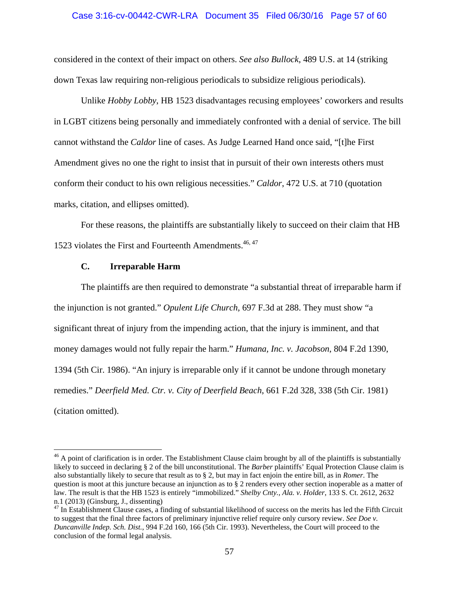### Case 3:16-cv-00442-CWR-LRA Document 35 Filed 06/30/16 Page 57 of 60

considered in the context of their impact on others. *See also Bullock*, 489 U.S. at 14 (striking down Texas law requiring non-religious periodicals to subsidize religious periodicals).

Unlike *Hobby Lobby*, HB 1523 disadvantages recusing employees' coworkers and results in LGBT citizens being personally and immediately confronted with a denial of service. The bill cannot withstand the *Caldor* line of cases. As Judge Learned Hand once said, "[t]he First Amendment gives no one the right to insist that in pursuit of their own interests others must conform their conduct to his own religious necessities." *Caldor*, 472 U.S. at 710 (quotation marks, citation, and ellipses omitted).

 For these reasons, the plaintiffs are substantially likely to succeed on their claim that HB 1523 violates the First and Fourteenth Amendments.<sup>46, 47</sup>

## **C. Irreparable Harm**

 $\overline{a}$ 

The plaintiffs are then required to demonstrate "a substantial threat of irreparable harm if the injunction is not granted." *Opulent Life Church,* 697 F.3d at 288. They must show "a significant threat of injury from the impending action, that the injury is imminent, and that money damages would not fully repair the harm." *Humana, Inc. v. Jacobson*, 804 F.2d 1390, 1394 (5th Cir. 1986). "An injury is irreparable only if it cannot be undone through monetary remedies." *Deerfield Med. Ctr. v. City of Deerfield Beach*, 661 F.2d 328, 338 (5th Cir. 1981) (citation omitted).

 $46$  A point of clarification is in order. The Establishment Clause claim brought by all of the plaintiffs is substantially likely to succeed in declaring § 2 of the bill unconstitutional. The *Barber* plaintiffs' Equal Protection Clause claim is also substantially likely to secure that result as to § 2, but may in fact enjoin the entire bill, as in *Romer*. The question is moot at this juncture because an injunction as to § 2 renders every other section inoperable as a matter of law. The result is that the HB 1523 is entirely "immobilized." *Shelby Cnty., Ala. v. Holder*, 133 S. Ct. 2612, 2632 n.1 (2013) (Ginsburg, J., dissenting)

 $47$  In Establishment Clause cases, a finding of substantial likelihood of success on the merits has led the Fifth Circuit to suggest that the final three factors of preliminary injunctive relief require only cursory review. *See Doe v. Duncanville Indep. Sch. Dist.*, 994 F.2d 160, 166 (5th Cir. 1993). Nevertheless, the Court will proceed to the conclusion of the formal legal analysis.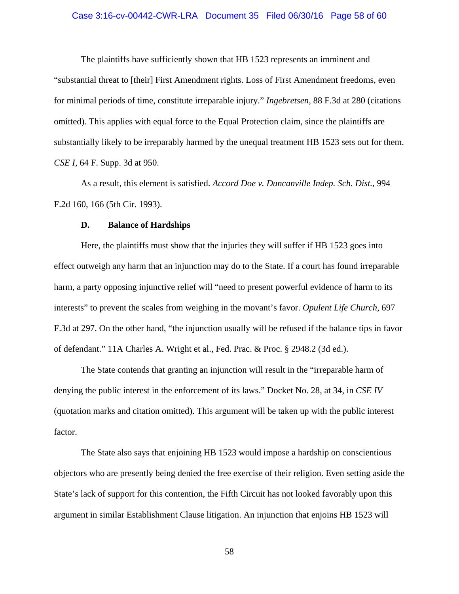# Case 3:16-cv-00442-CWR-LRA Document 35 Filed 06/30/16 Page 58 of 60

 The plaintiffs have sufficiently shown that HB 1523 represents an imminent and "substantial threat to [their] First Amendment rights. Loss of First Amendment freedoms, even for minimal periods of time, constitute irreparable injury." *Ingebretsen*, 88 F.3d at 280 (citations omitted). This applies with equal force to the Equal Protection claim, since the plaintiffs are substantially likely to be irreparably harmed by the unequal treatment HB 1523 sets out for them. *CSE I*, 64 F. Supp. 3d at 950.

As a result, this element is satisfied. *Accord Doe v. Duncanville Indep. Sch. Dist.*, 994 F.2d 160, 166 (5th Cir. 1993).

#### **D. Balance of Hardships**

 Here, the plaintiffs must show that the injuries they will suffer if HB 1523 goes into effect outweigh any harm that an injunction may do to the State. If a court has found irreparable harm, a party opposing injunctive relief will "need to present powerful evidence of harm to its interests" to prevent the scales from weighing in the movant's favor. *Opulent Life Church*, 697 F.3d at 297. On the other hand, "the injunction usually will be refused if the balance tips in favor of defendant." 11A Charles A. Wright et al., Fed. Prac. & Proc. § 2948.2 (3d ed.).

 The State contends that granting an injunction will result in the "irreparable harm of denying the public interest in the enforcement of its laws." Docket No. 28, at 34, in *CSE IV*  (quotation marks and citation omitted). This argument will be taken up with the public interest factor.

 The State also says that enjoining HB 1523 would impose a hardship on conscientious objectors who are presently being denied the free exercise of their religion. Even setting aside the State's lack of support for this contention, the Fifth Circuit has not looked favorably upon this argument in similar Establishment Clause litigation. An injunction that enjoins HB 1523 will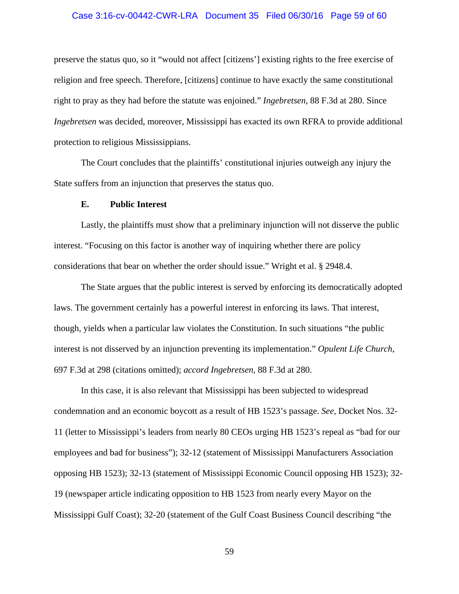# Case 3:16-cv-00442-CWR-LRA Document 35 Filed 06/30/16 Page 59 of 60

preserve the status quo, so it "would not affect [citizens'] existing rights to the free exercise of religion and free speech. Therefore, [citizens] continue to have exactly the same constitutional right to pray as they had before the statute was enjoined." *Ingebretsen*, 88 F.3d at 280. Since *Ingebretsen* was decided, moreover, Mississippi has exacted its own RFRA to provide additional protection to religious Mississippians.

 The Court concludes that the plaintiffs' constitutional injuries outweigh any injury the State suffers from an injunction that preserves the status quo.

### **E. Public Interest**

 Lastly, the plaintiffs must show that a preliminary injunction will not disserve the public interest. "Focusing on this factor is another way of inquiring whether there are policy considerations that bear on whether the order should issue." Wright et al. § 2948.4.

 The State argues that the public interest is served by enforcing its democratically adopted laws. The government certainly has a powerful interest in enforcing its laws. That interest, though, yields when a particular law violates the Constitution. In such situations "the public interest is not disserved by an injunction preventing its implementation." *Opulent Life Church*, 697 F.3d at 298 (citations omitted); *accord Ingebretsen*, 88 F.3d at 280.

 In this case, it is also relevant that Mississippi has been subjected to widespread condemnation and an economic boycott as a result of HB 1523's passage. *See*, Docket Nos. 32- 11 (letter to Mississippi's leaders from nearly 80 CEOs urging HB 1523's repeal as "bad for our employees and bad for business"); 32-12 (statement of Mississippi Manufacturers Association opposing HB 1523); 32-13 (statement of Mississippi Economic Council opposing HB 1523); 32- 19 (newspaper article indicating opposition to HB 1523 from nearly every Mayor on the Mississippi Gulf Coast); 32-20 (statement of the Gulf Coast Business Council describing "the